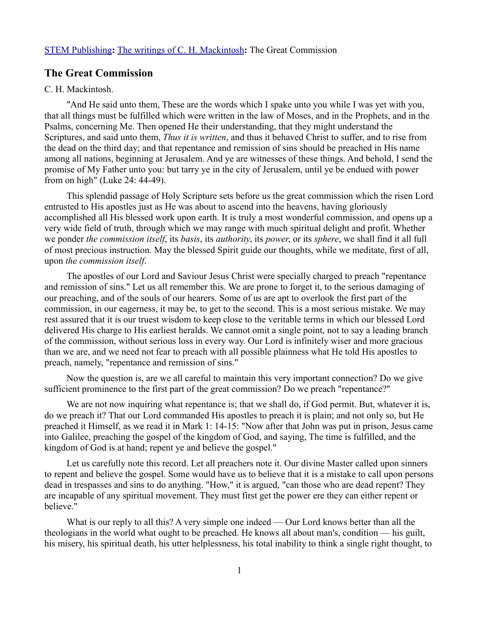# **The Great Commission**

# C. H. Mackintosh.

"And He said unto them, These are the words which I spake unto you while I was yet with you, that all things must be fulfilled which were written in the law of Moses, and in the Prophets, and in the Psalms, concerning Me. Then opened He their understanding, that they might understand the Scriptures, and said unto them, *Thus it is written*, and thus it behaved Christ to suffer, and to rise from the dead on the third day; and that repentance and remission of sins should be preached in His name among all nations, beginning at Jerusalem. And ye are witnesses of these things. And behold, I send the promise of My Father unto you: but tarry ye in the city of Jerusalem, until ye be endued with power from on high" (Luke 24: 44-49).

This splendid passage of Holy Scripture sets before us the great commission which the risen Lord entrusted to His apostles just as He was about to ascend into the heavens, having gloriously accomplished all His blessed work upon earth. It is truly a most wonderful commission, and opens up a very wide field of truth, through which we may range with much spiritual delight and profit. Whether we ponder *the commission itself*, its *basis*, its *authority*, its *power*, or its *sphere*, we shall find it all full of most precious instruction. May the blessed Spirit guide our thoughts, while we meditate, first of all, upon *the commission itself*.

The apostles of our Lord and Saviour Jesus Christ were specially charged to preach "repentance and remission of sins." Let us all remember this. We are prone to forget it, to the serious damaging of our preaching, and of the souls of our hearers. Some of us are apt to overlook the first part of the commission, in our eagerness, it may be, to get to the second. This is a most serious mistake. We may rest assured that it is our truest wisdom to keep close to the veritable terms in which our blessed Lord delivered His charge to His earliest heralds. We cannot omit a single point, not to say a leading branch of the commission, without serious loss in every way. Our Lord is infinitely wiser and more gracious than we are, and we need not fear to preach with all possible plainness what He told His apostles to preach, namely, "repentance and remission of sins."

Now the question is, are we all careful to maintain this very important connection? Do we give sufficient prominence to the first part of the great commission? Do we preach "repentance?"

We are not now inquiring what repentance is; that we shall do, if God permit. But, whatever it is, do we preach it? That our Lord commanded His apostles to preach it is plain; and not only so, but He preached it Himself, as we read it in Mark 1: 14-15: "Now after that John was put in prison, Jesus came into Galilee, preaching the gospel of the kingdom of God, and saying, The time is fulfilled, and the kingdom of God is at hand; repent ye and believe the gospel."

Let us carefully note this record. Let all preachers note it. Our divine Master called upon sinners to repent and believe the gospel. Some would have us to believe that it is a mistake to call upon persons dead in trespasses and sins to do anything. "How," it is argued, "can those who are dead repent? They are incapable of any spiritual movement. They must first get the power ere they can either repent or believe."

What is our reply to all this? A very simple one indeed — Our Lord knows better than all the theologians in the world what ought to be preached. He knows all about man's, condition — his guilt, his misery, his spiritual death, his utter helplessness, his total inability to think a single right thought, to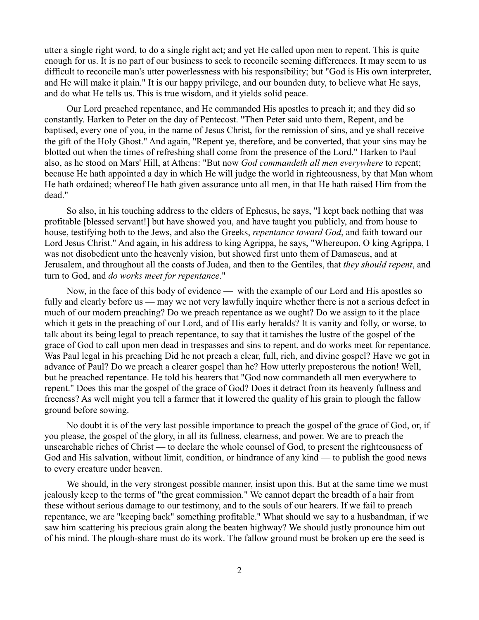utter a single right word, to do a single right act; and yet He called upon men to repent. This is quite enough for us. It is no part of our business to seek to reconcile seeming differences. It may seem to us difficult to reconcile man's utter powerlessness with his responsibility; but "God is His own interpreter, and He will make it plain." It is our happy privilege, and our bounden duty, to believe what He says, and do what He tells us. This is true wisdom, and it yields solid peace.

Our Lord preached repentance, and He commanded His apostles to preach it; and they did so constantly. Harken to Peter on the day of Pentecost. "Then Peter said unto them, Repent, and be baptised, every one of you, in the name of Jesus Christ, for the remission of sins, and ye shall receive the gift of the Holy Ghost." And again, "Repent ye, therefore, and be converted, that your sins may be blotted out when the times of refreshing shall come from the presence of the Lord." Harken to Paul also, as he stood on Mars' Hill, at Athens: "But now *God commandeth all men everywhere* to repent; because He hath appointed a day in which He will judge the world in righteousness, by that Man whom He hath ordained; whereof He hath given assurance unto all men, in that He hath raised Him from the dead."

So also, in his touching address to the elders of Ephesus, he says, "I kept back nothing that was profitable [blessed servant!] but have showed you, and have taught you publicly, and from house to house, testifying both to the Jews, and also the Greeks, *repentance toward God*, and faith toward our Lord Jesus Christ." And again, in his address to king Agrippa, he says, "Whereupon, O king Agrippa, I was not disobedient unto the heavenly vision, but showed first unto them of Damascus, and at Jerusalem, and throughout all the coasts of Judea, and then to the Gentiles, that *they should repent*, and turn to God, and *do works meet for repentance*."

Now, in the face of this body of evidence — with the example of our Lord and His apostles so fully and clearly before us — may we not very lawfully inquire whether there is not a serious defect in much of our modern preaching? Do we preach repentance as we ought? Do we assign to it the place which it gets in the preaching of our Lord, and of His early heralds? It is vanity and folly, or worse, to talk about its being legal to preach repentance, to say that it tarnishes the lustre of the gospel of the grace of God to call upon men dead in trespasses and sins to repent, and do works meet for repentance. Was Paul legal in his preaching Did he not preach a clear, full, rich, and divine gospel? Have we got in advance of Paul? Do we preach a clearer gospel than he? How utterly preposterous the notion! Well, but he preached repentance. He told his hearers that "God now commandeth all men everywhere to repent." Does this mar the gospel of the grace of God? Does it detract from its heavenly fullness and freeness? As well might you tell a farmer that it lowered the quality of his grain to plough the fallow ground before sowing.

No doubt it is of the very last possible importance to preach the gospel of the grace of God, or, if you please, the gospel of the glory, in all its fullness, clearness, and power. We are to preach the unsearchable riches of Christ — to declare the whole counsel of God, to present the righteousness of God and His salvation, without limit, condition, or hindrance of any kind — to publish the good news to every creature under heaven.

We should, in the very strongest possible manner, insist upon this. But at the same time we must jealously keep to the terms of "the great commission." We cannot depart the breadth of a hair from these without serious damage to our testimony, and to the souls of our hearers. If we fail to preach repentance, we are "keeping back" something profitable." What should we say to a husbandman, if we saw him scattering his precious grain along the beaten highway? We should justly pronounce him out of his mind. The plough-share must do its work. The fallow ground must be broken up ere the seed is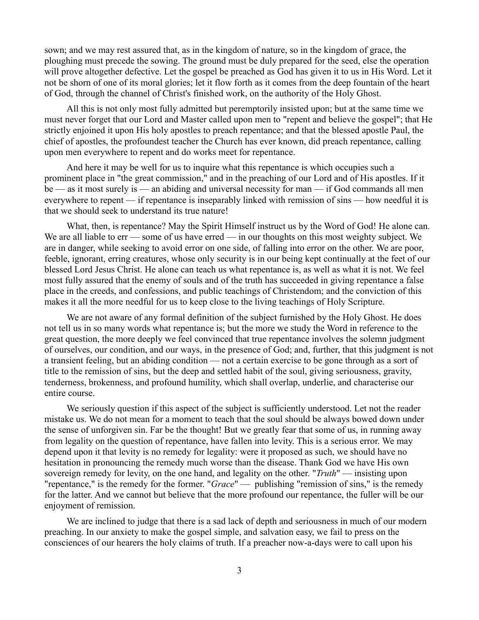sown; and we may rest assured that, as in the kingdom of nature, so in the kingdom of grace, the ploughing must precede the sowing. The ground must be duly prepared for the seed, else the operation will prove altogether defective. Let the gospel be preached as God has given it to us in His Word. Let it not be shorn of one of its moral glories; let it flow forth as it comes from the deep fountain of the heart of God, through the channel of Christ's finished work, on the authority of the Holy Ghost.

All this is not only most fully admitted but peremptorily insisted upon; but at the same time we must never forget that our Lord and Master called upon men to "repent and believe the gospel"; that He strictly enjoined it upon His holy apostles to preach repentance; and that the blessed apostle Paul, the chief of apostles, the profoundest teacher the Church has ever known, did preach repentance, calling upon men everywhere to repent and do works meet for repentance.

And here it may be well for us to inquire what this repentance is which occupies such a prominent place in "the great commission," and in the preaching of our Lord and of His apostles. If it be — as it most surely is — an abiding and universal necessity for man — if God commands all men everywhere to repent — if repentance is inseparably linked with remission of sins — how needful it is that we should seek to understand its true nature!

What, then, is repentance? May the Spirit Himself instruct us by the Word of God! He alone can. We are all liable to err — some of us have erred — in our thoughts on this most weighty subject. We are in danger, while seeking to avoid error on one side, of falling into error on the other. We are poor, feeble, ignorant, erring creatures, whose only security is in our being kept continually at the feet of our blessed Lord Jesus Christ. He alone can teach us what repentance is, as well as what it is not. We feel most fully assured that the enemy of souls and of the truth has succeeded in giving repentance a false place in the creeds, and confessions, and public teachings of Christendom; and the conviction of this makes it all the more needful for us to keep close to the living teachings of Holy Scripture.

We are not aware of any formal definition of the subject furnished by the Holy Ghost. He does not tell us in so many words what repentance is; but the more we study the Word in reference to the great question, the more deeply we feel convinced that true repentance involves the solemn judgment of ourselves, our condition, and our ways, in the presence of God; and, further, that this judgment is not a transient feeling, but an abiding condition — not a certain exercise to be gone through as a sort of title to the remission of sins, but the deep and settled habit of the soul, giving seriousness, gravity, tenderness, brokenness, and profound humility, which shall overlap, underlie, and characterise our entire course.

We seriously question if this aspect of the subject is sufficiently understood. Let not the reader mistake us. We do not mean for a moment to teach that the soul should be always bowed down under the sense of unforgiven sin. Far be the thought! But we greatly fear that some of us, in running away from legality on the question of repentance, have fallen into levity. This is a serious error. We may depend upon it that levity is no remedy for legality: were it proposed as such, we should have no hesitation in pronouncing the remedy much worse than the disease. Thank God we have His own sovereign remedy for levity, on the one hand, and legality on the other. "*Truth*" — insisting upon "repentance," is the remedy for the former. "*Grace*" — publishing "remission of sins," is the remedy for the latter. And we cannot but believe that the more profound our repentance, the fuller will be our enjoyment of remission.

We are inclined to judge that there is a sad lack of depth and seriousness in much of our modern preaching. In our anxiety to make the gospel simple, and salvation easy, we fail to press on the consciences of our hearers the holy claims of truth. If a preacher now-a-days were to call upon his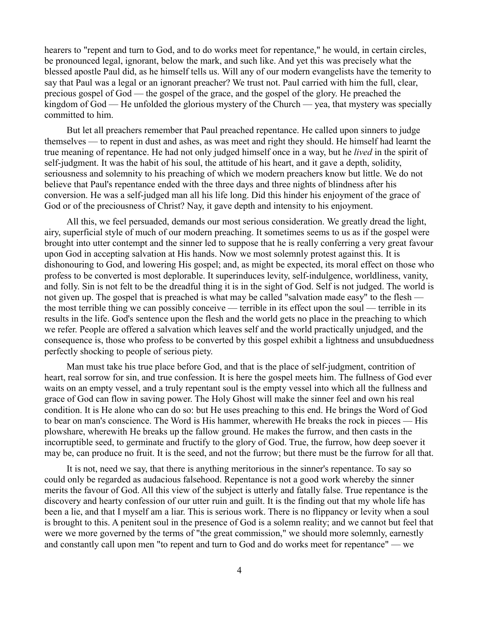hearers to "repent and turn to God, and to do works meet for repentance," he would, in certain circles, be pronounced legal, ignorant, below the mark, and such like. And yet this was precisely what the blessed apostle Paul did, as he himself tells us. Will any of our modern evangelists have the temerity to say that Paul was a legal or an ignorant preacher? We trust not. Paul carried with him the full, clear, precious gospel of God — the gospel of the grace, and the gospel of the glory. He preached the kingdom of God — He unfolded the glorious mystery of the Church — yea, that mystery was specially committed to him.

But let all preachers remember that Paul preached repentance. He called upon sinners to judge themselves — to repent in dust and ashes, as was meet and right they should. He himself had learnt the true meaning of repentance. He had not only judged himself once in a way, but he *lived* in the spirit of self-judgment. It was the habit of his soul, the attitude of his heart, and it gave a depth, solidity, seriousness and solemnity to his preaching of which we modern preachers know but little. We do not believe that Paul's repentance ended with the three days and three nights of blindness after his conversion. He was a self-judged man all his life long. Did this hinder his enjoyment of the grace of God or of the preciousness of Christ? Nay, it gave depth and intensity to his enjoyment.

All this, we feel persuaded, demands our most serious consideration. We greatly dread the light, airy, superficial style of much of our modern preaching. It sometimes seems to us as if the gospel were brought into utter contempt and the sinner led to suppose that he is really conferring a very great favour upon God in accepting salvation at His hands. Now we most solemnly protest against this. It is dishonouring to God, and lowering His gospel; and, as might be expected, its moral effect on those who profess to be converted is most deplorable. It superinduces levity, self-indulgence, worldliness, vanity, and folly. Sin is not felt to be the dreadful thing it is in the sight of God. Self is not judged. The world is not given up. The gospel that is preached is what may be called "salvation made easy" to the flesh the most terrible thing we can possibly conceive — terrible in its effect upon the soul — terrible in its results in the life. God's sentence upon the flesh and the world gets no place in the preaching to which we refer. People are offered a salvation which leaves self and the world practically unjudged, and the consequence is, those who profess to be converted by this gospel exhibit a lightness and unsubduedness perfectly shocking to people of serious piety.

Man must take his true place before God, and that is the place of self-judgment, contrition of heart, real sorrow for sin, and true confession. It is here the gospel meets him. The fullness of God ever waits on an empty vessel, and a truly repentant soul is the empty vessel into which all the fullness and grace of God can flow in saving power. The Holy Ghost will make the sinner feel and own his real condition. It is He alone who can do so: but He uses preaching to this end. He brings the Word of God to bear on man's conscience. The Word is His hammer, wherewith He breaks the rock in pieces — His plowshare, wherewith He breaks up the fallow ground. He makes the furrow, and then casts in the incorruptible seed, to germinate and fructify to the glory of God. True, the furrow, how deep soever it may be, can produce no fruit. It is the seed, and not the furrow; but there must be the furrow for all that.

It is not, need we say, that there is anything meritorious in the sinner's repentance. To say so could only be regarded as audacious falsehood. Repentance is not a good work whereby the sinner merits the favour of God. All this view of the subject is utterly and fatally false. True repentance is the discovery and hearty confession of our utter ruin and guilt. It is the finding out that my whole life has been a lie, and that I myself am a liar. This is serious work. There is no flippancy or levity when a soul is brought to this. A penitent soul in the presence of God is a solemn reality; and we cannot but feel that were we more governed by the terms of "the great commission," we should more solemnly, earnestly and constantly call upon men "to repent and turn to God and do works meet for repentance" — we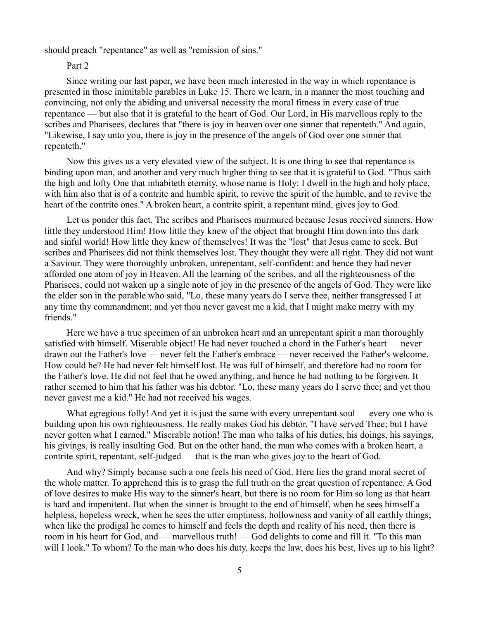should preach "repentance" as well as "remission of sins."

### Part 2

Since writing our last paper, we have been much interested in the way in which repentance is presented in those inimitable parables in Luke 15. There we learn, in a manner the most touching and convincing, not only the abiding and universal necessity the moral fitness in every case of true repentance — but also that it is grateful to the heart of God. Our Lord, in His marvellous reply to the scribes and Pharisees, declares that "there is joy in heaven over one sinner that repenteth." And again, "Likewise, I say unto you, there is joy in the presence of the angels of God over one sinner that repenteth."

Now this gives us a very elevated view of the subject. It is one thing to see that repentance is binding upon man, and another and very much higher thing to see that it is grateful to God. "Thus saith the high and lofty One that inhabiteth eternity, whose name is Holy: I dwell in the high and holy place, with him also that is of a contrite and humble spirit, to revive the spirit of the humble, and to revive the heart of the contrite ones." A broken heart, a contrite spirit, a repentant mind, gives joy to God.

Let us ponder this fact. The scribes and Pharisees murmured because Jesus received sinners. How little they understood Him! How little they knew of the object that brought Him down into this dark and sinful world! How little they knew of themselves! It was the "lost" that Jesus came to seek. But scribes and Pharisees did not think themselves lost. They thought they were all right. They did not want a Saviour. They were thoroughly unbroken, unrepentant, self-confident: and hence they had never afforded one atom of joy in Heaven. All the learning of the scribes, and all the righteousness of the Pharisees, could not waken up a single note of joy in the presence of the angels of God. They were like the elder son in the parable who said, "Lo, these many years do I serve thee, neither transgressed I at any time thy commandment; and yet thou never gavest me a kid, that I might make merry with my friends."

Here we have a true specimen of an unbroken heart and an unrepentant spirit a man thoroughly satisfied with himself. Miserable object! He had never touched a chord in the Father's heart — never drawn out the Father's love — never felt the Father's embrace — never received the Father's welcome. How could he? He had never felt himself lost. He was full of himself, and therefore had no room for the Father's love. He did not feel that he owed anything, and hence he had nothing to be forgiven. It rather seemed to him that his father was his debtor. "Lo, these many years do I serve thee; and yet thou never gavest me a kid." He had not received his wages.

What egregious folly! And yet it is just the same with every unrepentant soul — every one who is building upon his own righteousness. He really makes God his debtor. "I have served Thee; but I have never gotten what I earned." Miserable notion! The man who talks of his duties, his doings, his sayings, his givings, is really insulting God. But on the other hand, the man who comes with a broken heart, a contrite spirit, repentant, self-judged — that is the man who gives joy to the heart of God.

And why? Simply because such a one feels his need of God. Here lies the grand moral secret of the whole matter. To apprehend this is to grasp the full truth on the great question of repentance. A God of love desires to make His way to the sinner's heart, but there is no room for Him so long as that heart is hard and impenitent. But when the sinner is brought to the end of himself, when he sees himself a helpless, hopeless wreck, when he sees the utter emptiness, hollowness and vanity of all earthly things; when like the prodigal he comes to himself and feels the depth and reality of his need, then there is room in his heart for God, and — marvellous truth! — God delights to come and fill it. "To this man will I look." To whom? To the man who does his duty, keeps the law, does his best, lives up to his light?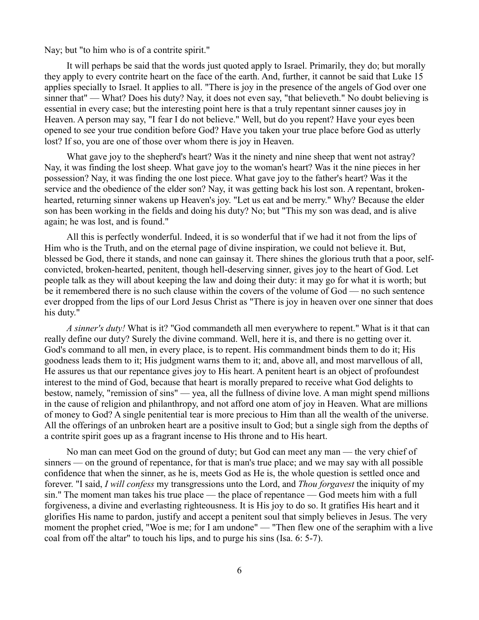Nay; but "to him who is of a contrite spirit."

It will perhaps be said that the words just quoted apply to Israel. Primarily, they do; but morally they apply to every contrite heart on the face of the earth. And, further, it cannot be said that Luke 15 applies specially to Israel. It applies to all. "There is joy in the presence of the angels of God over one sinner that" — What? Does his duty? Nay, it does not even say, "that believeth." No doubt believing is essential in every case; but the interesting point here is that a truly repentant sinner causes joy in Heaven. A person may say, "I fear I do not believe." Well, but do you repent? Have your eyes been opened to see your true condition before God? Have you taken your true place before God as utterly lost? If so, you are one of those over whom there is joy in Heaven.

What gave joy to the shepherd's heart? Was it the ninety and nine sheep that went not astray? Nay, it was finding the lost sheep. What gave joy to the woman's heart? Was it the nine pieces in her possession? Nay, it was finding the one lost piece. What gave joy to the father's heart? Was it the service and the obedience of the elder son? Nay, it was getting back his lost son. A repentant, brokenhearted, returning sinner wakens up Heaven's joy. "Let us eat and be merry." Why? Because the elder son has been working in the fields and doing his duty? No; but "This my son was dead, and is alive again; he was lost, and is found."

All this is perfectly wonderful. Indeed, it is so wonderful that if we had it not from the lips of Him who is the Truth, and on the eternal page of divine inspiration, we could not believe it. But, blessed be God, there it stands, and none can gainsay it. There shines the glorious truth that a poor, selfconvicted, broken-hearted, penitent, though hell-deserving sinner, gives joy to the heart of God. Let people talk as they will about keeping the law and doing their duty: it may go for what it is worth; but be it remembered there is no such clause within the covers of the volume of God — no such sentence ever dropped from the lips of our Lord Jesus Christ as "There is joy in heaven over one sinner that does his duty."

*A sinner's duty!* What is it? "God commandeth all men everywhere to repent." What is it that can really define our duty? Surely the divine command. Well, here it is, and there is no getting over it. God's command to all men, in every place, is to repent. His commandment binds them to do it; His goodness leads them to it; His judgment warns them to it; and, above all, and most marvellous of all, He assures us that our repentance gives joy to His heart. A penitent heart is an object of profoundest interest to the mind of God, because that heart is morally prepared to receive what God delights to bestow, namely, "remission of sins" — yea, all the fullness of divine love. A man might spend millions in the cause of religion and philanthropy, and not afford one atom of joy in Heaven. What are millions of money to God? A single penitential tear is more precious to Him than all the wealth of the universe. All the offerings of an unbroken heart are a positive insult to God; but a single sigh from the depths of a contrite spirit goes up as a fragrant incense to His throne and to His heart.

No man can meet God on the ground of duty; but God can meet any man — the very chief of sinners — on the ground of repentance, for that is man's true place; and we may say with all possible confidence that when the sinner, as he is, meets God as He is, the whole question is settled once and forever. "I said, *I will confess* my transgressions unto the Lord, and *Thou forgavest* the iniquity of my sin." The moment man takes his true place — the place of repentance — God meets him with a full forgiveness, a divine and everlasting righteousness. It is His joy to do so. It gratifies His heart and it glorifies His name to pardon, justify and accept a penitent soul that simply believes in Jesus. The very moment the prophet cried, "Woe is me; for I am undone" — "Then flew one of the seraphim with a live coal from off the altar" to touch his lips, and to purge his sins (Isa. 6: 5-7).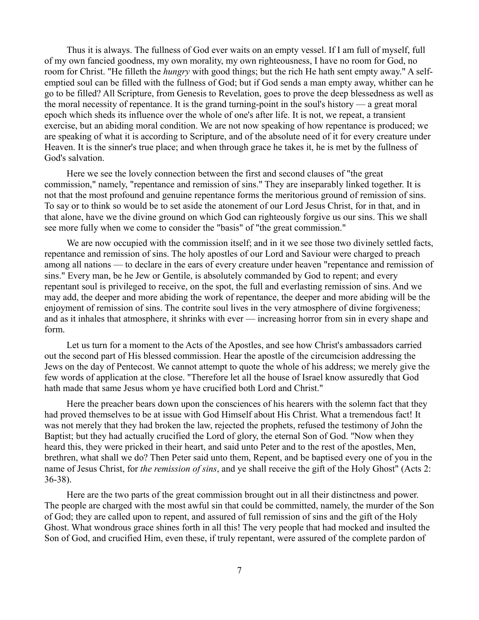Thus it is always. The fullness of God ever waits on an empty vessel. If I am full of myself, full of my own fancied goodness, my own morality, my own righteousness, I have no room for God, no room for Christ. "He filleth the *hungry* with good things; but the rich He hath sent empty away." A selfemptied soul can be filled with the fullness of God; but if God sends a man empty away, whither can he go to be filled? All Scripture, from Genesis to Revelation, goes to prove the deep blessedness as well as the moral necessity of repentance. It is the grand turning-point in the soul's history — a great moral epoch which sheds its influence over the whole of one's after life. It is not, we repeat, a transient exercise, but an abiding moral condition. We are not now speaking of how repentance is produced; we are speaking of what it is according to Scripture, and of the absolute need of it for every creature under Heaven. It is the sinner's true place; and when through grace he takes it, he is met by the fullness of God's salvation.

Here we see the lovely connection between the first and second clauses of "the great commission," namely, "repentance and remission of sins." They are inseparably linked together. It is not that the most profound and genuine repentance forms the meritorious ground of remission of sins. To say or to think so would be to set aside the atonement of our Lord Jesus Christ, for in that, and in that alone, have we the divine ground on which God can righteously forgive us our sins. This we shall see more fully when we come to consider the "basis" of "the great commission."

We are now occupied with the commission itself; and in it we see those two divinely settled facts, repentance and remission of sins. The holy apostles of our Lord and Saviour were charged to preach among all nations — to declare in the ears of every creature under heaven "repentance and remission of sins." Every man, be he Jew or Gentile, is absolutely commanded by God to repent; and every repentant soul is privileged to receive, on the spot, the full and everlasting remission of sins. And we may add, the deeper and more abiding the work of repentance, the deeper and more abiding will be the enjoyment of remission of sins. The contrite soul lives in the very atmosphere of divine forgiveness; and as it inhales that atmosphere, it shrinks with ever — increasing horror from sin in every shape and form.

Let us turn for a moment to the Acts of the Apostles, and see how Christ's ambassadors carried out the second part of His blessed commission. Hear the apostle of the circumcision addressing the Jews on the day of Pentecost. We cannot attempt to quote the whole of his address; we merely give the few words of application at the close. "Therefore let all the house of Israel know assuredly that God hath made that same Jesus whom ye have crucified both Lord and Christ."

Here the preacher bears down upon the consciences of his hearers with the solemn fact that they had proved themselves to be at issue with God Himself about His Christ. What a tremendous fact! It was not merely that they had broken the law, rejected the prophets, refused the testimony of John the Baptist; but they had actually crucified the Lord of glory, the eternal Son of God. "Now when they heard this, they were pricked in their heart, and said unto Peter and to the rest of the apostles, Men, brethren, what shall we do? Then Peter said unto them, Repent, and be baptised every one of you in the name of Jesus Christ, for *the remission of sins*, and ye shall receive the gift of the Holy Ghost" (Acts 2: 36-38).

Here are the two parts of the great commission brought out in all their distinctness and power. The people are charged with the most awful sin that could be committed, namely, the murder of the Son of God; they are called upon to repent, and assured of full remission of sins and the gift of the Holy Ghost. What wondrous grace shines forth in all this! The very people that had mocked and insulted the Son of God, and crucified Him, even these, if truly repentant, were assured of the complete pardon of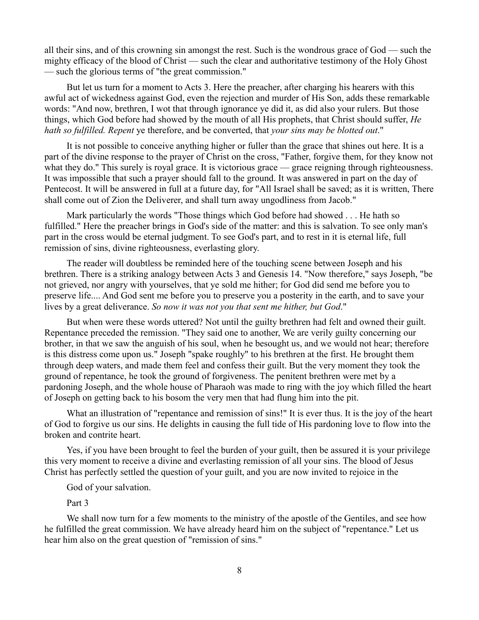all their sins, and of this crowning sin amongst the rest. Such is the wondrous grace of God — such the mighty efficacy of the blood of Christ — such the clear and authoritative testimony of the Holy Ghost — such the glorious terms of "the great commission."

But let us turn for a moment to Acts 3. Here the preacher, after charging his hearers with this awful act of wickedness against God, even the rejection and murder of His Son, adds these remarkable words: "And now, brethren, I wot that through ignorance ye did it, as did also your rulers. But those things, which God before had showed by the mouth of all His prophets, that Christ should suffer, *He hath so fulfilled. Repent* ye therefore, and be converted, that *your sins may be blotted out*."

It is not possible to conceive anything higher or fuller than the grace that shines out here. It is a part of the divine response to the prayer of Christ on the cross, "Father, forgive them, for they know not what they do." This surely is royal grace. It is victorious grace — grace reigning through righteousness. It was impossible that such a prayer should fall to the ground. It was answered in part on the day of Pentecost. It will be answered in full at a future day, for "All Israel shall be saved; as it is written, There shall come out of Zion the Deliverer, and shall turn away ungodliness from Jacob."

Mark particularly the words "Those things which God before had showed . . . He hath so fulfilled." Here the preacher brings in God's side of the matter: and this is salvation. To see only man's part in the cross would be eternal judgment. To see God's part, and to rest in it is eternal life, full remission of sins, divine righteousness, everlasting glory.

The reader will doubtless be reminded here of the touching scene between Joseph and his brethren. There is a striking analogy between Acts 3 and Genesis 14. "Now therefore," says Joseph, "be not grieved, nor angry with yourselves, that ye sold me hither; for God did send me before you to preserve life.... And God sent me before you to preserve you a posterity in the earth, and to save your lives by a great deliverance. *So now it was not you that sent me hither, but God*."

But when were these words uttered? Not until the guilty brethren had felt and owned their guilt. Repentance preceded the remission. "They said one to another, We are verily guilty concerning our brother, in that we saw the anguish of his soul, when he besought us, and we would not hear; therefore is this distress come upon us." Joseph "spake roughly" to his brethren at the first. He brought them through deep waters, and made them feel and confess their guilt. But the very moment they took the ground of repentance, he took the ground of forgiveness. The penitent brethren were met by a pardoning Joseph, and the whole house of Pharaoh was made to ring with the joy which filled the heart of Joseph on getting back to his bosom the very men that had flung him into the pit.

What an illustration of "repentance and remission of sins!" It is ever thus. It is the joy of the heart of God to forgive us our sins. He delights in causing the full tide of His pardoning love to flow into the broken and contrite heart.

Yes, if you have been brought to feel the burden of your guilt, then be assured it is your privilege this very moment to receive a divine and everlasting remission of all your sins. The blood of Jesus Christ has perfectly settled the question of your guilt, and you are now invited to rejoice in the

God of your salvation.

Part 3

We shall now turn for a few moments to the ministry of the apostle of the Gentiles, and see how he fulfilled the great commission. We have already heard him on the subject of "repentance." Let us hear him also on the great question of "remission of sins."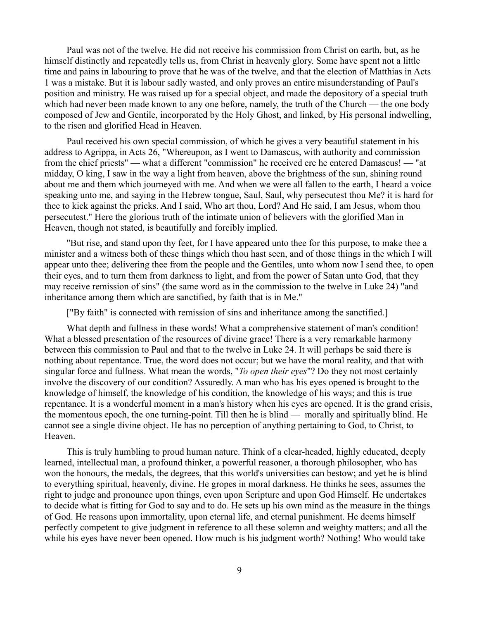Paul was not of the twelve. He did not receive his commission from Christ on earth, but, as he himself distinctly and repeatedly tells us, from Christ in heavenly glory. Some have spent not a little time and pains in labouring to prove that he was of the twelve, and that the election of Matthias in Acts 1 was a mistake. But it is labour sadly wasted, and only proves an entire misunderstanding of Paul's position and ministry. He was raised up for a special object, and made the depository of a special truth which had never been made known to any one before, namely, the truth of the Church — the one body composed of Jew and Gentile, incorporated by the Holy Ghost, and linked, by His personal indwelling, to the risen and glorified Head in Heaven.

Paul received his own special commission, of which he gives a very beautiful statement in his address to Agrippa, in Acts 26, "Whereupon, as I went to Damascus, with authority and commission from the chief priests" — what a different "commission" he received ere he entered Damascus! — "at midday, O king, I saw in the way a light from heaven, above the brightness of the sun, shining round about me and them which journeyed with me. And when we were all fallen to the earth, I heard a voice speaking unto me, and saying in the Hebrew tongue, Saul, Saul, why persecutest thou Me? it is hard for thee to kick against the pricks. And I said, Who art thou, Lord? And He said, I am Jesus, whom thou persecutest." Here the glorious truth of the intimate union of believers with the glorified Man in Heaven, though not stated, is beautifully and forcibly implied.

"But rise, and stand upon thy feet, for I have appeared unto thee for this purpose, to make thee a minister and a witness both of these things which thou hast seen, and of those things in the which I will appear unto thee; delivering thee from the people and the Gentiles, unto whom now I send thee, to open their eyes, and to turn them from darkness to light, and from the power of Satan unto God, that they may receive remission of sins" (the same word as in the commission to the twelve in Luke 24) "and inheritance among them which are sanctified, by faith that is in Me."

["By faith" is connected with remission of sins and inheritance among the sanctified.]

What depth and fullness in these words! What a comprehensive statement of man's condition! What a blessed presentation of the resources of divine grace! There is a very remarkable harmony between this commission to Paul and that to the twelve in Luke 24. It will perhaps be said there is nothing about repentance. True, the word does not occur; but we have the moral reality, and that with singular force and fullness. What mean the words, "*To open their eyes*"? Do they not most certainly involve the discovery of our condition? Assuredly. A man who has his eyes opened is brought to the knowledge of himself, the knowledge of his condition, the knowledge of his ways; and this is true repentance. It is a wonderful moment in a man's history when his eyes are opened. It is the grand crisis, the momentous epoch, the one turning-point. Till then he is blind — morally and spiritually blind. He cannot see a single divine object. He has no perception of anything pertaining to God, to Christ, to Heaven.

This is truly humbling to proud human nature. Think of a clear-headed, highly educated, deeply learned, intellectual man, a profound thinker, a powerful reasoner, a thorough philosopher, who has won the honours, the medals, the degrees, that this world's universities can bestow; and yet he is blind to everything spiritual, heavenly, divine. He gropes in moral darkness. He thinks he sees, assumes the right to judge and pronounce upon things, even upon Scripture and upon God Himself. He undertakes to decide what is fitting for God to say and to do. He sets up his own mind as the measure in the things of God. He reasons upon immortality, upon eternal life, and eternal punishment. He deems himself perfectly competent to give judgment in reference to all these solemn and weighty matters; and all the while his eyes have never been opened. How much is his judgment worth? Nothing! Who would take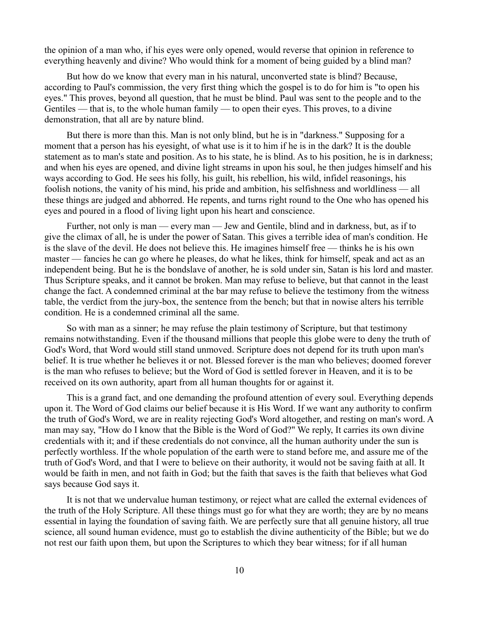the opinion of a man who, if his eyes were only opened, would reverse that opinion in reference to everything heavenly and divine? Who would think for a moment of being guided by a blind man?

But how do we know that every man in his natural, unconverted state is blind? Because, according to Paul's commission, the very first thing which the gospel is to do for him is "to open his eyes." This proves, beyond all question, that he must be blind. Paul was sent to the people and to the Gentiles — that is, to the whole human family — to open their eyes. This proves, to a divine demonstration, that all are by nature blind.

But there is more than this. Man is not only blind, but he is in "darkness." Supposing for a moment that a person has his eyesight, of what use is it to him if he is in the dark? It is the double statement as to man's state and position. As to his state, he is blind. As to his position, he is in darkness; and when his eyes are opened, and divine light streams in upon his soul, he then judges himself and his ways according to God. He sees his folly, his guilt, his rebellion, his wild, infidel reasonings, his foolish notions, the vanity of his mind, his pride and ambition, his selfishness and worldliness — all these things are judged and abhorred. He repents, and turns right round to the One who has opened his eyes and poured in a flood of living light upon his heart and conscience.

Further, not only is man — every man — Jew and Gentile, blind and in darkness, but, as if to give the climax of all, he is under the power of Satan. This gives a terrible idea of man's condition. He is the slave of the devil. He does not believe this. He imagines himself free — thinks he is his own master — fancies he can go where he pleases, do what he likes, think for himself, speak and act as an independent being. But he is the bondslave of another, he is sold under sin, Satan is his lord and master. Thus Scripture speaks, and it cannot be broken. Man may refuse to believe, but that cannot in the least change the fact. A condemned criminal at the bar may refuse to believe the testimony from the witness table, the verdict from the jury-box, the sentence from the bench; but that in nowise alters his terrible condition. He is a condemned criminal all the same.

So with man as a sinner; he may refuse the plain testimony of Scripture, but that testimony remains notwithstanding. Even if the thousand millions that people this globe were to deny the truth of God's Word, that Word would still stand unmoved. Scripture does not depend for its truth upon man's belief. It is true whether he believes it or not. Blessed forever is the man who believes; doomed forever is the man who refuses to believe; but the Word of God is settled forever in Heaven, and it is to be received on its own authority, apart from all human thoughts for or against it.

This is a grand fact, and one demanding the profound attention of every soul. Everything depends upon it. The Word of God claims our belief because it is His Word. If we want any authority to confirm the truth of God's Word, we are in reality rejecting God's Word altogether, and resting on man's word. A man may say, "How do I know that the Bible is the Word of God?" We reply, It carries its own divine credentials with it; and if these credentials do not convince, all the human authority under the sun is perfectly worthless. If the whole population of the earth were to stand before me, and assure me of the truth of God's Word, and that I were to believe on their authority, it would not be saving faith at all. It would be faith in men, and not faith in God; but the faith that saves is the faith that believes what God says because God says it.

It is not that we undervalue human testimony, or reject what are called the external evidences of the truth of the Holy Scripture. All these things must go for what they are worth; they are by no means essential in laying the foundation of saving faith. We are perfectly sure that all genuine history, all true science, all sound human evidence, must go to establish the divine authenticity of the Bible; but we do not rest our faith upon them, but upon the Scriptures to which they bear witness; for if all human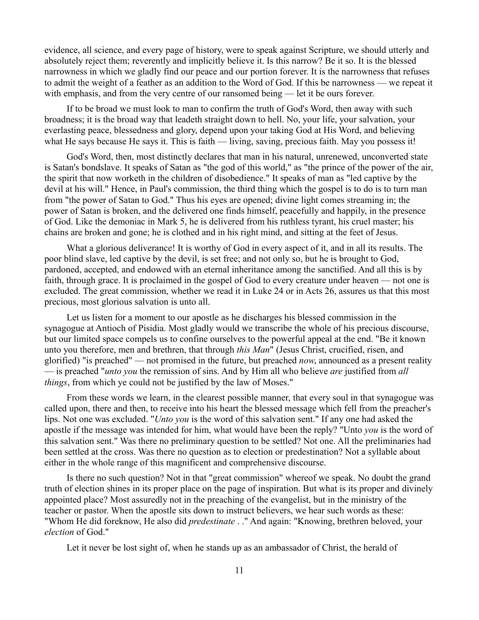evidence, all science, and every page of history, were to speak against Scripture, we should utterly and absolutely reject them; reverently and implicitly believe it. Is this narrow? Be it so. It is the blessed narrowness in which we gladly find our peace and our portion forever. It is the narrowness that refuses to admit the weight of a feather as an addition to the Word of God. If this be narrowness — we repeat it with emphasis, and from the very centre of our ransomed being — let it be ours forever.

If to be broad we must look to man to confirm the truth of God's Word, then away with such broadness; it is the broad way that leadeth straight down to hell. No, your life, your salvation, your everlasting peace, blessedness and glory, depend upon your taking God at His Word, and believing what He says because He says it. This is faith — living, saving, precious faith. May you possess it!

God's Word, then, most distinctly declares that man in his natural, unrenewed, unconverted state is Satan's bondslave. It speaks of Satan as "the god of this world," as "the prince of the power of the air, the spirit that now worketh in the children of disobedience." It speaks of man as "led captive by the devil at his will." Hence, in Paul's commission, the third thing which the gospel is to do is to turn man from "the power of Satan to God." Thus his eyes are opened; divine light comes streaming in; the power of Satan is broken, and the delivered one finds himself, peacefully and happily, in the presence of God. Like the demoniac in Mark 5, he is delivered from his ruthless tyrant, his cruel master; his chains are broken and gone; he is clothed and in his right mind, and sitting at the feet of Jesus.

What a glorious deliverance! It is worthy of God in every aspect of it, and in all its results. The poor blind slave, led captive by the devil, is set free; and not only so, but he is brought to God, pardoned, accepted, and endowed with an eternal inheritance among the sanctified. And all this is by faith, through grace. It is proclaimed in the gospel of God to every creature under heaven — not one is excluded. The great commission, whether we read it in Luke 24 or in Acts 26, assures us that this most precious, most glorious salvation is unto all.

Let us listen for a moment to our apostle as he discharges his blessed commission in the synagogue at Antioch of Pisidia. Most gladly would we transcribe the whole of his precious discourse, but our limited space compels us to confine ourselves to the powerful appeal at the end. "Be it known unto you therefore, men and brethren, that through *this Man*" (Jesus Christ, crucified, risen, and glorified) "is preached" — not promised in the future, but preached *now*, announced as a present reality — is preached "*unto you* the remission of sins. And by Him all who believe *are* justified from *all things*, from which ye could not be justified by the law of Moses."

From these words we learn, in the clearest possible manner, that every soul in that synagogue was called upon, there and then, to receive into his heart the blessed message which fell from the preacher's lips. Not one was excluded. "*Unto you* is the word of this salvation sent." If any one had asked the apostle if the message was intended for him, what would have been the reply? "Unto *you* is the word of this salvation sent." Was there no preliminary question to be settled? Not one. All the preliminaries had been settled at the cross. Was there no question as to election or predestination? Not a syllable about either in the whole range of this magnificent and comprehensive discourse.

Is there no such question? Not in that "great commission" whereof we speak. No doubt the grand truth of election shines in its proper place on the page of inspiration. But what is its proper and divinely appointed place? Most assuredly not in the preaching of the evangelist, but in the ministry of the teacher or pastor. When the apostle sits down to instruct believers, we hear such words as these: "Whom He did foreknow, He also did *predestinate* . ." And again: "Knowing, brethren beloved, your *election* of God."

Let it never be lost sight of, when he stands up as an ambassador of Christ, the herald of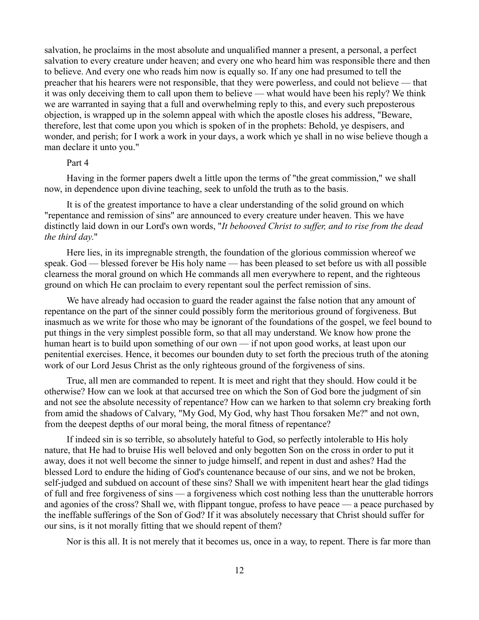salvation, he proclaims in the most absolute and unqualified manner a present, a personal, a perfect salvation to every creature under heaven; and every one who heard him was responsible there and then to believe. And every one who reads him now is equally so. If any one had presumed to tell the preacher that his hearers were not responsible, that they were powerless, and could not believe — that it was only deceiving them to call upon them to believe — what would have been his reply? We think we are warranted in saying that a full and overwhelming reply to this, and every such preposterous objection, is wrapped up in the solemn appeal with which the apostle closes his address, "Beware, therefore, lest that come upon you which is spoken of in the prophets: Behold, ye despisers, and wonder, and perish; for I work a work in your days, a work which ye shall in no wise believe though a man declare it unto you."

### Part 4

Having in the former papers dwelt a little upon the terms of "the great commission," we shall now, in dependence upon divine teaching, seek to unfold the truth as to the basis.

It is of the greatest importance to have a clear understanding of the solid ground on which "repentance and remission of sins" are announced to every creature under heaven. This we have distinctly laid down in our Lord's own words, "*It behooved Christ to suffer, and to rise from the dead the third day*."

Here lies, in its impregnable strength, the foundation of the glorious commission whereof we speak. God — blessed forever be His holy name — has been pleased to set before us with all possible clearness the moral ground on which He commands all men everywhere to repent, and the righteous ground on which He can proclaim to every repentant soul the perfect remission of sins.

We have already had occasion to guard the reader against the false notion that any amount of repentance on the part of the sinner could possibly form the meritorious ground of forgiveness. But inasmuch as we write for those who may be ignorant of the foundations of the gospel, we feel bound to put things in the very simplest possible form, so that all may understand. We know how prone the human heart is to build upon something of our own — if not upon good works, at least upon our penitential exercises. Hence, it becomes our bounden duty to set forth the precious truth of the atoning work of our Lord Jesus Christ as the only righteous ground of the forgiveness of sins.

True, all men are commanded to repent. It is meet and right that they should. How could it be otherwise? How can we look at that accursed tree on which the Son of God bore the judgment of sin and not see the absolute necessity of repentance? How can we harken to that solemn cry breaking forth from amid the shadows of Calvary, "My God, My God, why hast Thou forsaken Me?" and not own, from the deepest depths of our moral being, the moral fitness of repentance?

If indeed sin is so terrible, so absolutely hateful to God, so perfectly intolerable to His holy nature, that He had to bruise His well beloved and only begotten Son on the cross in order to put it away, does it not well become the sinner to judge himself, and repent in dust and ashes? Had the blessed Lord to endure the hiding of God's countenance because of our sins, and we not be broken, self-judged and subdued on account of these sins? Shall we with impenitent heart hear the glad tidings of full and free forgiveness of sins — a forgiveness which cost nothing less than the unutterable horrors and agonies of the cross? Shall we, with flippant tongue, profess to have peace — a peace purchased by the ineffable sufferings of the Son of God? If it was absolutely necessary that Christ should suffer for our sins, is it not morally fitting that we should repent of them?

Nor is this all. It is not merely that it becomes us, once in a way, to repent. There is far more than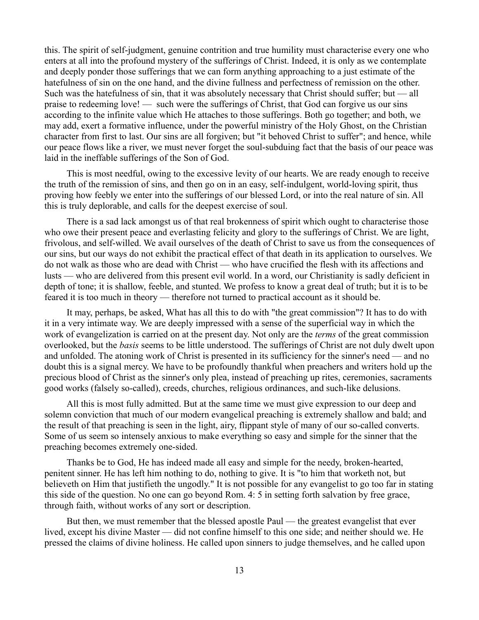this. The spirit of self-judgment, genuine contrition and true humility must characterise every one who enters at all into the profound mystery of the sufferings of Christ. Indeed, it is only as we contemplate and deeply ponder those sufferings that we can form anything approaching to a just estimate of the hatefulness of sin on the one hand, and the divine fullness and perfectness of remission on the other. Such was the hatefulness of sin, that it was absolutely necessary that Christ should suffer; but — all praise to redeeming love! — such were the sufferings of Christ, that God can forgive us our sins according to the infinite value which He attaches to those sufferings. Both go together; and both, we may add, exert a formative influence, under the powerful ministry of the Holy Ghost, on the Christian character from first to last. Our sins are all forgiven; but "it behoved Christ to suffer"; and hence, while our peace flows like a river, we must never forget the soul-subduing fact that the basis of our peace was laid in the ineffable sufferings of the Son of God.

This is most needful, owing to the excessive levity of our hearts. We are ready enough to receive the truth of the remission of sins, and then go on in an easy, self-indulgent, world-loving spirit, thus proving how feebly we enter into the sufferings of our blessed Lord, or into the real nature of sin. All this is truly deplorable, and calls for the deepest exercise of soul.

There is a sad lack amongst us of that real brokenness of spirit which ought to characterise those who owe their present peace and everlasting felicity and glory to the sufferings of Christ. We are light, frivolous, and self-willed. We avail ourselves of the death of Christ to save us from the consequences of our sins, but our ways do not exhibit the practical effect of that death in its application to ourselves. We do not walk as those who are dead with Christ — who have crucified the flesh with its affections and lusts — who are delivered from this present evil world. In a word, our Christianity is sadly deficient in depth of tone; it is shallow, feeble, and stunted. We profess to know a great deal of truth; but it is to be feared it is too much in theory — therefore not turned to practical account as it should be.

It may, perhaps, be asked, What has all this to do with "the great commission"? It has to do with it in a very intimate way. We are deeply impressed with a sense of the superficial way in which the work of evangelization is carried on at the present day. Not only are the *terms* of the great commission overlooked, but the *basis* seems to be little understood. The sufferings of Christ are not duly dwelt upon and unfolded. The atoning work of Christ is presented in its sufficiency for the sinner's need — and no doubt this is a signal mercy. We have to be profoundly thankful when preachers and writers hold up the precious blood of Christ as the sinner's only plea, instead of preaching up rites, ceremonies, sacraments good works (falsely so-called), creeds, churches, religious ordinances, and such-like delusions.

All this is most fully admitted. But at the same time we must give expression to our deep and solemn conviction that much of our modern evangelical preaching is extremely shallow and bald; and the result of that preaching is seen in the light, airy, flippant style of many of our so-called converts. Some of us seem so intensely anxious to make everything so easy and simple for the sinner that the preaching becomes extremely one-sided.

Thanks be to God, He has indeed made all easy and simple for the needy, broken-hearted, penitent sinner. He has left him nothing to do, nothing to give. It is "to him that worketh not, but believeth on Him that justifieth the ungodly." It is not possible for any evangelist to go too far in stating this side of the question. No one can go beyond Rom. 4: 5 in setting forth salvation by free grace, through faith, without works of any sort or description.

But then, we must remember that the blessed apostle Paul — the greatest evangelist that ever lived, except his divine Master — did not confine himself to this one side; and neither should we. He pressed the claims of divine holiness. He called upon sinners to judge themselves, and he called upon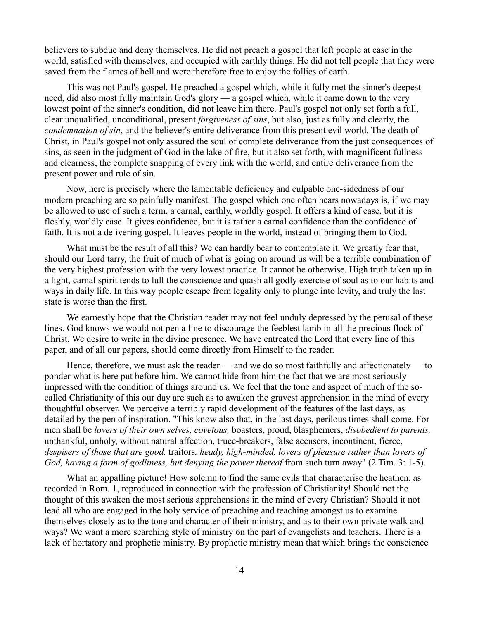believers to subdue and deny themselves. He did not preach a gospel that left people at ease in the world, satisfied with themselves, and occupied with earthly things. He did not tell people that they were saved from the flames of hell and were therefore free to enjoy the follies of earth.

This was not Paul's gospel. He preached a gospel which, while it fully met the sinner's deepest need, did also most fully maintain God's glory — a gospel which, while it came down to the very lowest point of the sinner's condition, did not leave him there. Paul's gospel not only set forth a full, clear unqualified, unconditional, present *forgiveness of sins*, but also, just as fully and clearly, the *condemnation of sin*, and the believer's entire deliverance from this present evil world. The death of Christ, in Paul's gospel not only assured the soul of complete deliverance from the just consequences of sins, as seen in the judgment of God in the lake of fire, but it also set forth, with magnificent fullness and clearness, the complete snapping of every link with the world, and entire deliverance from the present power and rule of sin.

Now, here is precisely where the lamentable deficiency and culpable one-sidedness of our modern preaching are so painfully manifest. The gospel which one often hears nowadays is, if we may be allowed to use of such a term, a carnal, earthly, worldly gospel. It offers a kind of ease, but it is fleshly, worldly ease. It gives confidence, but it is rather a carnal confidence than the confidence of faith. It is not a delivering gospel. It leaves people in the world, instead of bringing them to God.

What must be the result of all this? We can hardly bear to contemplate it. We greatly fear that, should our Lord tarry, the fruit of much of what is going on around us will be a terrible combination of the very highest profession with the very lowest practice. It cannot be otherwise. High truth taken up in a light, carnal spirit tends to lull the conscience and quash all godly exercise of soul as to our habits and ways in daily life. In this way people escape from legality only to plunge into levity, and truly the last state is worse than the first.

We earnestly hope that the Christian reader may not feel unduly depressed by the perusal of these lines. God knows we would not pen a line to discourage the feeblest lamb in all the precious flock of Christ. We desire to write in the divine presence. We have entreated the Lord that every line of this paper, and of all our papers, should come directly from Himself to the reader.

Hence, therefore, we must ask the reader — and we do so most faithfully and affectionately — to ponder what is here put before him. We cannot hide from him the fact that we are most seriously impressed with the condition of things around us. We feel that the tone and aspect of much of the socalled Christianity of this our day are such as to awaken the gravest apprehension in the mind of every thoughtful observer. We perceive a terribly rapid development of the features of the last days, as detailed by the pen of inspiration. "This know also that, in the last days, perilous times shall come. For men shall be *lovers of their own selves, covetous,* boasters, proud, blasphemers, *disobedient to parents,* unthankful, unholy, without natural affection, truce-breakers, false accusers, incontinent, fierce, *despisers of those that are good,* traitors*, heady, high-minded, lovers of pleasure rather than lovers of God, having a form of godliness, but denying the power thereof* from such turn away" (2 Tim. 3: 1-5).

What an appalling picture! How solemn to find the same evils that characterise the heathen, as recorded in Rom. 1, reproduced in connection with the profession of Christianity! Should not the thought of this awaken the most serious apprehensions in the mind of every Christian? Should it not lead all who are engaged in the holy service of preaching and teaching amongst us to examine themselves closely as to the tone and character of their ministry, and as to their own private walk and ways? We want a more searching style of ministry on the part of evangelists and teachers. There is a lack of hortatory and prophetic ministry. By prophetic ministry mean that which brings the conscience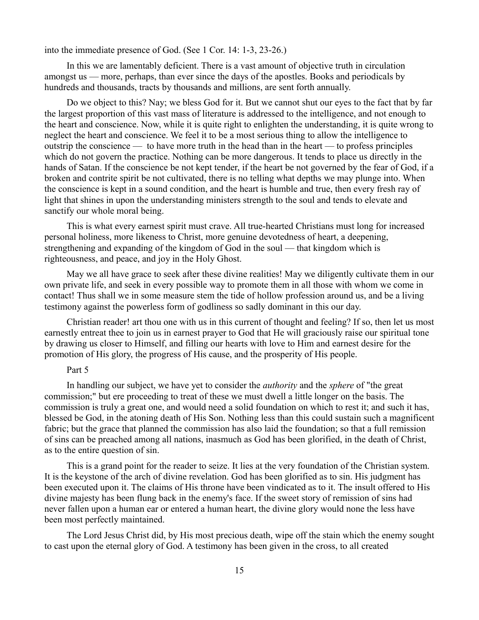into the immediate presence of God. (See 1 Cor. 14: 1-3, 23-26.)

In this we are lamentably deficient. There is a vast amount of objective truth in circulation amongst us — more, perhaps, than ever since the days of the apostles. Books and periodicals by hundreds and thousands, tracts by thousands and millions, are sent forth annually.

Do we object to this? Nay; we bless God for it. But we cannot shut our eyes to the fact that by far the largest proportion of this vast mass of literature is addressed to the intelligence, and not enough to the heart and conscience. Now, while it is quite right to enlighten the understanding, it is quite wrong to neglect the heart and conscience. We feel it to be a most serious thing to allow the intelligence to outstrip the conscience — to have more truth in the head than in the heart — to profess principles which do not govern the practice. Nothing can be more dangerous. It tends to place us directly in the hands of Satan. If the conscience be not kept tender, if the heart be not governed by the fear of God, if a broken and contrite spirit be not cultivated, there is no telling what depths we may plunge into. When the conscience is kept in a sound condition, and the heart is humble and true, then every fresh ray of light that shines in upon the understanding ministers strength to the soul and tends to elevate and sanctify our whole moral being.

This is what every earnest spirit must crave. All true-hearted Christians must long for increased personal holiness, more likeness to Christ, more genuine devotedness of heart, a deepening, strengthening and expanding of the kingdom of God in the soul — that kingdom which is righteousness, and peace, and joy in the Holy Ghost.

May we all have grace to seek after these divine realities! May we diligently cultivate them in our own private life, and seek in every possible way to promote them in all those with whom we come in contact! Thus shall we in some measure stem the tide of hollow profession around us, and be a living testimony against the powerless form of godliness so sadly dominant in this our day.

Christian reader! art thou one with us in this current of thought and feeling? If so, then let us most earnestly entreat thee to join us in earnest prayer to God that He will graciously raise our spiritual tone by drawing us closer to Himself, and filling our hearts with love to Him and earnest desire for the promotion of His glory, the progress of His cause, and the prosperity of His people.

# Part 5

In handling our subject, we have yet to consider the *authority* and the *sphere* of "the great commission;" but ere proceeding to treat of these we must dwell a little longer on the basis. The commission is truly a great one, and would need a solid foundation on which to rest it; and such it has, blessed be God, in the atoning death of His Son. Nothing less than this could sustain such a magnificent fabric; but the grace that planned the commission has also laid the foundation; so that a full remission of sins can be preached among all nations, inasmuch as God has been glorified, in the death of Christ, as to the entire question of sin.

This is a grand point for the reader to seize. It lies at the very foundation of the Christian system. It is the keystone of the arch of divine revelation. God has been glorified as to sin. His judgment has been executed upon it. The claims of His throne have been vindicated as to it. The insult offered to His divine majesty has been flung back in the enemy's face. If the sweet story of remission of sins had never fallen upon a human ear or entered a human heart, the divine glory would none the less have been most perfectly maintained.

The Lord Jesus Christ did, by His most precious death, wipe off the stain which the enemy sought to cast upon the eternal glory of God. A testimony has been given in the cross, to all created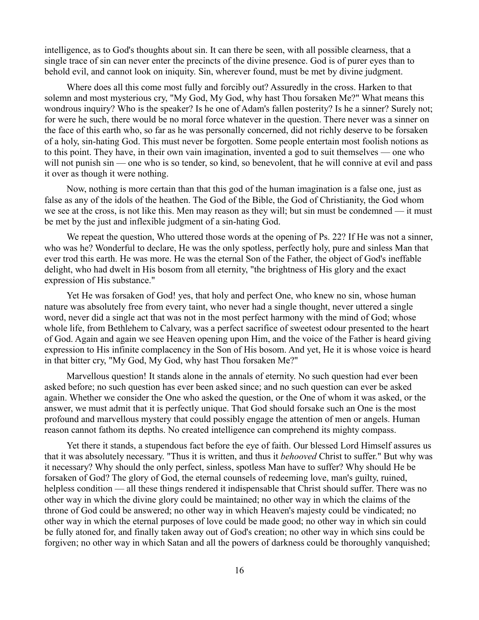intelligence, as to God's thoughts about sin. It can there be seen, with all possible clearness, that a single trace of sin can never enter the precincts of the divine presence. God is of purer eyes than to behold evil, and cannot look on iniquity. Sin, wherever found, must be met by divine judgment.

Where does all this come most fully and forcibly out? Assuredly in the cross. Harken to that solemn and most mysterious cry, "My God, My God, why hast Thou forsaken Me?" What means this wondrous inquiry? Who is the speaker? Is he one of Adam's fallen posterity? Is he a sinner? Surely not; for were he such, there would be no moral force whatever in the question. There never was a sinner on the face of this earth who, so far as he was personally concerned, did not richly deserve to be forsaken of a holy, sin-hating God. This must never be forgotten. Some people entertain most foolish notions as to this point. They have, in their own vain imagination, invented a god to suit themselves — one who will not punish sin — one who is so tender, so kind, so benevolent, that he will connive at evil and pass it over as though it were nothing.

Now, nothing is more certain than that this god of the human imagination is a false one, just as false as any of the idols of the heathen. The God of the Bible, the God of Christianity, the God whom we see at the cross, is not like this. Men may reason as they will; but sin must be condemned — it must be met by the just and inflexible judgment of a sin-hating God.

We repeat the question, Who uttered those words at the opening of Ps. 22? If He was not a sinner, who was he? Wonderful to declare, He was the only spotless, perfectly holy, pure and sinless Man that ever trod this earth. He was more. He was the eternal Son of the Father, the object of God's ineffable delight, who had dwelt in His bosom from all eternity, "the brightness of His glory and the exact expression of His substance."

Yet He was forsaken of God! yes, that holy and perfect One, who knew no sin, whose human nature was absolutely free from every taint, who never had a single thought, never uttered a single word, never did a single act that was not in the most perfect harmony with the mind of God; whose whole life, from Bethlehem to Calvary, was a perfect sacrifice of sweetest odour presented to the heart of God. Again and again we see Heaven opening upon Him, and the voice of the Father is heard giving expression to His infinite complacency in the Son of His bosom. And yet, He it is whose voice is heard in that bitter cry, "My God, My God, why hast Thou forsaken Me?"

Marvellous question! It stands alone in the annals of eternity. No such question had ever been asked before; no such question has ever been asked since; and no such question can ever be asked again. Whether we consider the One who asked the question, or the One of whom it was asked, or the answer, we must admit that it is perfectly unique. That God should forsake such an One is the most profound and marvellous mystery that could possibly engage the attention of men or angels. Human reason cannot fathom its depths. No created intelligence can comprehend its mighty compass.

Yet there it stands, a stupendous fact before the eye of faith. Our blessed Lord Himself assures us that it was absolutely necessary. "Thus it is written, and thus it *behooved* Christ to suffer." But why was it necessary? Why should the only perfect, sinless, spotless Man have to suffer? Why should He be forsaken of God? The glory of God, the eternal counsels of redeeming love, man's guilty, ruined, helpless condition — all these things rendered it indispensable that Christ should suffer. There was no other way in which the divine glory could be maintained; no other way in which the claims of the throne of God could be answered; no other way in which Heaven's majesty could be vindicated; no other way in which the eternal purposes of love could be made good; no other way in which sin could be fully atoned for, and finally taken away out of God's creation; no other way in which sins could be forgiven; no other way in which Satan and all the powers of darkness could be thoroughly vanquished;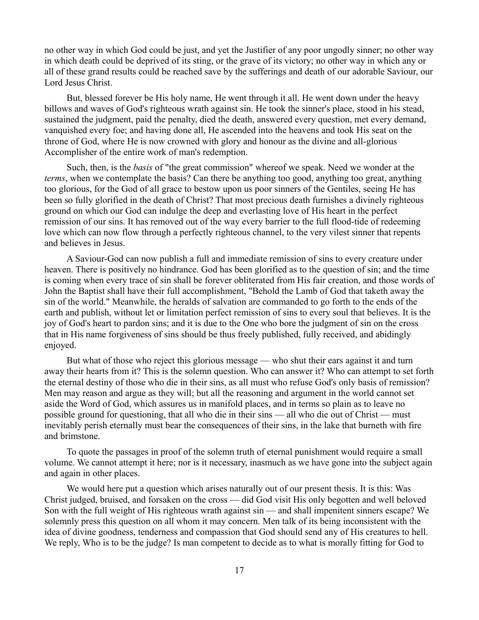no other way in which God could be just, and yet the Justifier of any poor ungodly sinner; no other way in which death could be deprived of its sting, or the grave of its victory; no other way in which any or all of these grand results could be reached save by the sufferings and death of our adorable Saviour, our Lord Jesus Christ.

But, blessed forever be His holy name, He went through it all. He went down under the heavy billows and waves of God's righteous wrath against sin. He took the sinner's place, stood in his stead, sustained the judgment, paid the penalty, died the death, answered every question, met every demand, vanquished every foe; and having done all, He ascended into the heavens and took His seat on the throne of God, where He is now crowned with glory and honour as the divine and all-glorious Accomplisher of the entire work of man's redemption.

Such, then, is the *basis* of "the great commission" whereof we speak. Need we wonder at the *terms*, when we contemplate the basis? Can there be anything too good, anything too great, anything too glorious, for the God of all grace to bestow upon us poor sinners of the Gentiles, seeing He has been so fully glorified in the death of Christ? That most precious death furnishes a divinely righteous ground on which our God can indulge the deep and everlasting love of His heart in the perfect remission of our sins. It has removed out of the way every barrier to the full flood-tide of redeeming love which can now flow through a perfectly righteous channel, to the very vilest sinner that repents and believes in Jesus.

A Saviour-God can now publish a full and immediate remission of sins to every creature under heaven. There is positively no hindrance. God has been glorified as to the question of sin; and the time is coming when every trace of sin shall be forever obliterated from His fair creation, and those words of John the Baptist shall have their full accomplishment, "Behold the Lamb of God that taketh away the sin of the world." Meanwhile, the heralds of salvation are commanded to go forth to the ends of the earth and publish, without let or limitation perfect remission of sins to every soul that believes. It is the joy of God's heart to pardon sins; and it is due to the One who bore the judgment of sin on the cross that in His name forgiveness of sins should be thus freely published, fully received, and abidingly enjoyed.

But what of those who reject this glorious message — who shut their ears against it and turn away their hearts from it? This is the solemn question. Who can answer it? Who can attempt to set forth the eternal destiny of those who die in their sins, as all must who refuse God's only basis of remission? Men may reason and argue as they will; but all the reasoning and argument in the world cannot set aside the Word of God, which assures us in manifold places, and in terms so plain as to leave no possible ground for questioning, that all who die in their sins — all who die out of Christ — must inevitably perish eternally must bear the consequences of their sins, in the lake that burneth with fire and brimstone.

To quote the passages in proof of the solemn truth of eternal punishment would require a small volume. We cannot attempt it here; nor is it necessary, inasmuch as we have gone into the subject again and again in other places.

We would here put a question which arises naturally out of our present thesis. It is this: Was Christ judged, bruised, and forsaken on the cross — did God visit His only begotten and well beloved Son with the full weight of His righteous wrath against sin — and shall impenitent sinners escape? We solemnly press this question on all whom it may concern. Men talk of its being inconsistent with the idea of divine goodness, tenderness and compassion that God should send any of His creatures to hell. We reply, Who is to be the judge? Is man competent to decide as to what is morally fitting for God to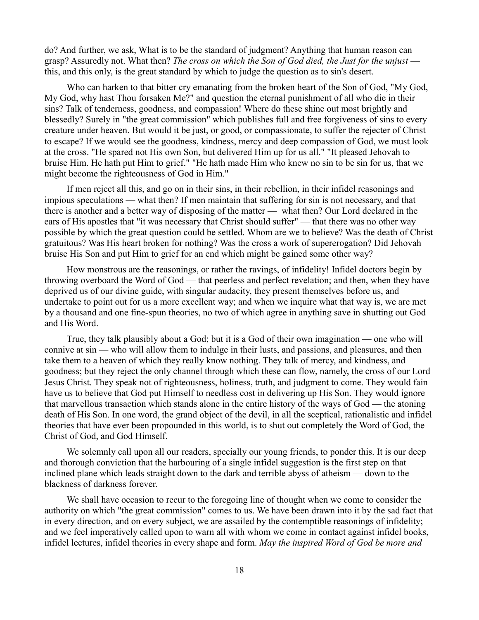do? And further, we ask, What is to be the standard of judgment? Anything that human reason can grasp? Assuredly not. What then? *The cross on which the Son of God died, the Just for the unjust* this, and this only, is the great standard by which to judge the question as to sin's desert.

Who can harken to that bitter cry emanating from the broken heart of the Son of God, "My God, My God, why hast Thou forsaken Me?" and question the eternal punishment of all who die in their sins? Talk of tenderness, goodness, and compassion! Where do these shine out most brightly and blessedly? Surely in "the great commission" which publishes full and free forgiveness of sins to every creature under heaven. But would it be just, or good, or compassionate, to suffer the rejecter of Christ to escape? If we would see the goodness, kindness, mercy and deep compassion of God, we must look at the cross. "He spared not His own Son, but delivered Him up for us all." "It pleased Jehovah to bruise Him. He hath put Him to grief." "He hath made Him who knew no sin to be sin for us, that we might become the righteousness of God in Him."

If men reject all this, and go on in their sins, in their rebellion, in their infidel reasonings and impious speculations — what then? If men maintain that suffering for sin is not necessary, and that there is another and a better way of disposing of the matter — what then? Our Lord declared in the ears of His apostles that "it was necessary that Christ should suffer" — that there was no other way possible by which the great question could be settled. Whom are we to believe? Was the death of Christ gratuitous? Was His heart broken for nothing? Was the cross a work of supererogation? Did Jehovah bruise His Son and put Him to grief for an end which might be gained some other way?

How monstrous are the reasonings, or rather the ravings, of infidelity! Infidel doctors begin by throwing overboard the Word of God — that peerless and perfect revelation; and then, when they have deprived us of our divine guide, with singular audacity, they present themselves before us, and undertake to point out for us a more excellent way; and when we inquire what that way is, we are met by a thousand and one fine-spun theories, no two of which agree in anything save in shutting out God and His Word.

True, they talk plausibly about a God; but it is a God of their own imagination — one who will connive at sin — who will allow them to indulge in their lusts, and passions, and pleasures, and then take them to a heaven of which they really know nothing. They talk of mercy, and kindness, and goodness; but they reject the only channel through which these can flow, namely, the cross of our Lord Jesus Christ. They speak not of righteousness, holiness, truth, and judgment to come. They would fain have us to believe that God put Himself to needless cost in delivering up His Son. They would ignore that marvellous transaction which stands alone in the entire history of the ways of God — the atoning death of His Son. In one word, the grand object of the devil, in all the sceptical, rationalistic and infidel theories that have ever been propounded in this world, is to shut out completely the Word of God, the Christ of God, and God Himself.

We solemnly call upon all our readers, specially our young friends, to ponder this. It is our deep and thorough conviction that the harbouring of a single infidel suggestion is the first step on that inclined plane which leads straight down to the dark and terrible abyss of atheism — down to the blackness of darkness forever.

We shall have occasion to recur to the foregoing line of thought when we come to consider the authority on which "the great commission" comes to us. We have been drawn into it by the sad fact that in every direction, and on every subject, we are assailed by the contemptible reasonings of infidelity; and we feel imperatively called upon to warn all with whom we come in contact against infidel books, infidel lectures, infidel theories in every shape and form. *May the inspired Word of God be more and*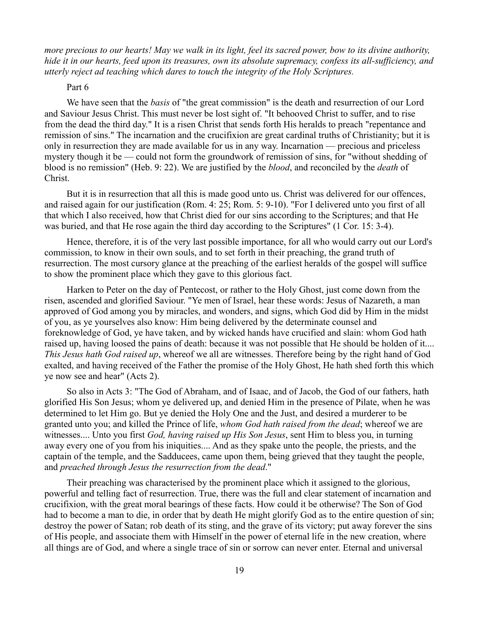*more precious to our hearts! May we walk in its light, feel its sacred power, bow to its divine authority, hide it in our hearts, feed upon its treasures, own its absolute supremacy, confess its all-sufficiency, and utterly reject ad teaching which dares to touch the integrity of the Holy Scriptures.*

### Part 6

We have seen that the *basis* of "the great commission" is the death and resurrection of our Lord and Saviour Jesus Christ. This must never be lost sight of. "It behooved Christ to suffer, and to rise from the dead the third day." It is a risen Christ that sends forth His heralds to preach "repentance and remission of sins." The incarnation and the crucifixion are great cardinal truths of Christianity; but it is only in resurrection they are made available for us in any way. Incarnation — precious and priceless mystery though it be — could not form the groundwork of remission of sins, for "without shedding of blood is no remission" (Heb. 9: 22). We are justified by the *blood*, and reconciled by the *death* of Christ.

But it is in resurrection that all this is made good unto us. Christ was delivered for our offences, and raised again for our justification (Rom. 4: 25; Rom. 5: 9-10). "For I delivered unto you first of all that which I also received, how that Christ died for our sins according to the Scriptures; and that He was buried, and that He rose again the third day according to the Scriptures" (1 Cor. 15: 3-4).

Hence, therefore, it is of the very last possible importance, for all who would carry out our Lord's commission, to know in their own souls, and to set forth in their preaching, the grand truth of resurrection. The most cursory glance at the preaching of the earliest heralds of the gospel will suffice to show the prominent place which they gave to this glorious fact.

Harken to Peter on the day of Pentecost, or rather to the Holy Ghost, just come down from the risen, ascended and glorified Saviour. "Ye men of Israel, hear these words: Jesus of Nazareth, a man approved of God among you by miracles, and wonders, and signs, which God did by Him in the midst of you, as ye yourselves also know: Him being delivered by the determinate counsel and foreknowledge of God, ye have taken, and by wicked hands have crucified and slain: whom God hath raised up, having loosed the pains of death: because it was not possible that He should be holden of it.... *This Jesus hath God raised up*, whereof we all are witnesses. Therefore being by the right hand of God exalted, and having received of the Father the promise of the Holy Ghost, He hath shed forth this which ye now see and hear" (Acts 2).

So also in Acts 3: "The God of Abraham, and of Isaac, and of Jacob, the God of our fathers, hath glorified His Son Jesus; whom ye delivered up, and denied Him in the presence of Pilate, when he was determined to let Him go. But ye denied the Holy One and the Just, and desired a murderer to be granted unto you; and killed the Prince of life, *whom God hath raised from the dead*; whereof we are witnesses.... Unto you first *God, having raised up His Son Jesus*, sent Him to bless you, in turning away every one of you from his iniquities.... And as they spake unto the people, the priests, and the captain of the temple, and the Sadducees, came upon them, being grieved that they taught the people, and *preached through Jesus the resurrection from the dead*."

Their preaching was characterised by the prominent place which it assigned to the glorious, powerful and telling fact of resurrection. True, there was the full and clear statement of incarnation and crucifixion, with the great moral bearings of these facts. How could it be otherwise? The Son of God had to become a man to die, in order that by death He might glorify God as to the entire question of sin; destroy the power of Satan; rob death of its sting, and the grave of its victory; put away forever the sins of His people, and associate them with Himself in the power of eternal life in the new creation, where all things are of God, and where a single trace of sin or sorrow can never enter. Eternal and universal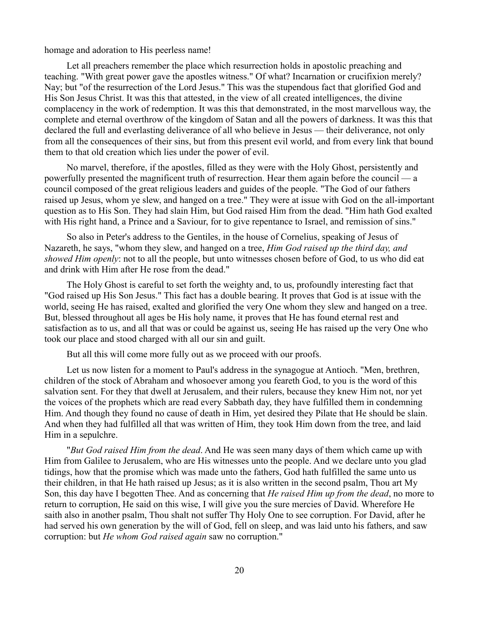homage and adoration to His peerless name!

Let all preachers remember the place which resurrection holds in apostolic preaching and teaching. "With great power gave the apostles witness." Of what? Incarnation or crucifixion merely? Nay; but "of the resurrection of the Lord Jesus." This was the stupendous fact that glorified God and His Son Jesus Christ. It was this that attested, in the view of all created intelligences, the divine complacency in the work of redemption. It was this that demonstrated, in the most marvellous way, the complete and eternal overthrow of the kingdom of Satan and all the powers of darkness. It was this that declared the full and everlasting deliverance of all who believe in Jesus — their deliverance, not only from all the consequences of their sins, but from this present evil world, and from every link that bound them to that old creation which lies under the power of evil.

No marvel, therefore, if the apostles, filled as they were with the Holy Ghost, persistently and powerfully presented the magnificent truth of resurrection. Hear them again before the council — a council composed of the great religious leaders and guides of the people. "The God of our fathers raised up Jesus, whom ye slew, and hanged on a tree." They were at issue with God on the all-important question as to His Son. They had slain Him, but God raised Him from the dead. "Him hath God exalted with His right hand, a Prince and a Saviour, for to give repentance to Israel, and remission of sins."

So also in Peter's address to the Gentiles, in the house of Cornelius, speaking of Jesus of Nazareth, he says, "whom they slew, and hanged on a tree, *Him God raised up the third day, and showed Him openly*: not to all the people, but unto witnesses chosen before of God, to us who did eat and drink with Him after He rose from the dead."

The Holy Ghost is careful to set forth the weighty and, to us, profoundly interesting fact that "God raised up His Son Jesus." This fact has a double bearing. It proves that God is at issue with the world, seeing He has raised, exalted and glorified the very One whom they slew and hanged on a tree. But, blessed throughout all ages be His holy name, it proves that He has found eternal rest and satisfaction as to us, and all that was or could be against us, seeing He has raised up the very One who took our place and stood charged with all our sin and guilt.

But all this will come more fully out as we proceed with our proofs.

Let us now listen for a moment to Paul's address in the synagogue at Antioch. "Men, brethren, children of the stock of Abraham and whosoever among you feareth God, to you is the word of this salvation sent. For they that dwell at Jerusalem, and their rulers, because they knew Him not, nor yet the voices of the prophets which are read every Sabbath day, they have fulfilled them in condemning Him. And though they found no cause of death in Him, yet desired they Pilate that He should be slain. And when they had fulfilled all that was written of Him, they took Him down from the tree, and laid Him in a sepulchre.

"*But God raised Him from the dead*. And He was seen many days of them which came up with Him from Galilee to Jerusalem, who are His witnesses unto the people. And we declare unto you glad tidings, how that the promise which was made unto the fathers, God hath fulfilled the same unto us their children, in that He hath raised up Jesus; as it is also written in the second psalm, Thou art My Son, this day have I begotten Thee. And as concerning that *He raised Him up from the dead*, no more to return to corruption, He said on this wise, I will give you the sure mercies of David. Wherefore He saith also in another psalm, Thou shalt not suffer Thy Holy One to see corruption. For David, after he had served his own generation by the will of God, fell on sleep, and was laid unto his fathers, and saw corruption: but *He whom God raised again* saw no corruption."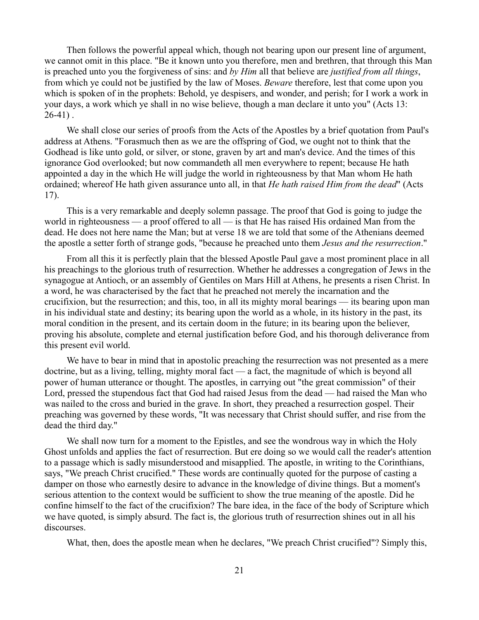Then follows the powerful appeal which, though not bearing upon our present line of argument, we cannot omit in this place. "Be it known unto you therefore, men and brethren, that through this Man is preached unto you the forgiveness of sins: and *by Him* all that believe are *justified from all things*, from which ye could not be justified by the law of Moses. *Beware* therefore, lest that come upon you which is spoken of in the prophets: Behold, ye despisers, and wonder, and perish; for I work a work in your days, a work which ye shall in no wise believe, though a man declare it unto you" (Acts 13:  $26-41$ ).

We shall close our series of proofs from the Acts of the Apostles by a brief quotation from Paul's address at Athens. "Forasmuch then as we are the offspring of God, we ought not to think that the Godhead is like unto gold, or silver, or stone, graven by art and man's device. And the times of this ignorance God overlooked; but now commandeth all men everywhere to repent; because He hath appointed a day in the which He will judge the world in righteousness by that Man whom He hath ordained; whereof He hath given assurance unto all, in that *He hath raised Him from the dead*" (Acts 17).

This is a very remarkable and deeply solemn passage. The proof that God is going to judge the world in righteousness — a proof offered to all — is that He has raised His ordained Man from the dead. He does not here name the Man; but at verse 18 we are told that some of the Athenians deemed the apostle a setter forth of strange gods, "because he preached unto them *Jesus and the resurrection*."

From all this it is perfectly plain that the blessed Apostle Paul gave a most prominent place in all his preachings to the glorious truth of resurrection. Whether he addresses a congregation of Jews in the synagogue at Antioch, or an assembly of Gentiles on Mars Hill at Athens, he presents a risen Christ. In a word, he was characterised by the fact that he preached not merely the incarnation and the crucifixion, but the resurrection; and this, too, in all its mighty moral bearings — its bearing upon man in his individual state and destiny; its bearing upon the world as a whole, in its history in the past, its moral condition in the present, and its certain doom in the future; in its bearing upon the believer, proving his absolute, complete and eternal justification before God, and his thorough deliverance from this present evil world.

We have to bear in mind that in apostolic preaching the resurrection was not presented as a mere doctrine, but as a living, telling, mighty moral fact — a fact, the magnitude of which is beyond all power of human utterance or thought. The apostles, in carrying out "the great commission" of their Lord, pressed the stupendous fact that God had raised Jesus from the dead — had raised the Man who was nailed to the cross and buried in the grave. In short, they preached a resurrection gospel. Their preaching was governed by these words, "It was necessary that Christ should suffer, and rise from the dead the third day."

We shall now turn for a moment to the Epistles, and see the wondrous way in which the Holy Ghost unfolds and applies the fact of resurrection. But ere doing so we would call the reader's attention to a passage which is sadly misunderstood and misapplied. The apostle, in writing to the Corinthians, says, "We preach Christ crucified." These words are continually quoted for the purpose of casting a damper on those who earnestly desire to advance in the knowledge of divine things. But a moment's serious attention to the context would be sufficient to show the true meaning of the apostle. Did he confine himself to the fact of the crucifixion? The bare idea, in the face of the body of Scripture which we have quoted, is simply absurd. The fact is, the glorious truth of resurrection shines out in all his discourses.

What, then, does the apostle mean when he declares, "We preach Christ crucified"? Simply this,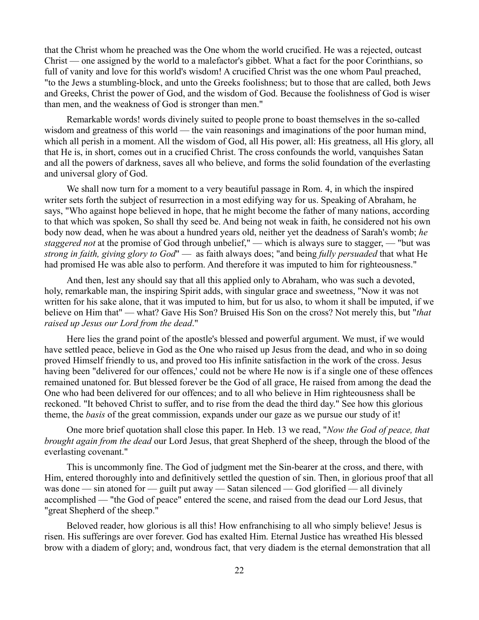that the Christ whom he preached was the One whom the world crucified. He was a rejected, outcast Christ — one assigned by the world to a malefactor's gibbet. What a fact for the poor Corinthians, so full of vanity and love for this world's wisdom! A crucified Christ was the one whom Paul preached, "to the Jews a stumbling-block, and unto the Greeks foolishness; but to those that are called, both Jews and Greeks, Christ the power of God, and the wisdom of God. Because the foolishness of God is wiser than men, and the weakness of God is stronger than men."

Remarkable words! words divinely suited to people prone to boast themselves in the so-called wisdom and greatness of this world — the vain reasonings and imaginations of the poor human mind, which all perish in a moment. All the wisdom of God, all His power, all: His greatness, all His glory, all that He is, in short, comes out in a crucified Christ. The cross confounds the world, vanquishes Satan and all the powers of darkness, saves all who believe, and forms the solid foundation of the everlasting and universal glory of God.

We shall now turn for a moment to a very beautiful passage in Rom. 4, in which the inspired writer sets forth the subject of resurrection in a most edifying way for us. Speaking of Abraham, he says, "Who against hope believed in hope, that he might become the father of many nations, according to that which was spoken, So shall thy seed be. And being not weak in faith, he considered not his own body now dead, when he was about a hundred years old, neither yet the deadness of Sarah's womb; *he staggered not* at the promise of God through unbelief," — which is always sure to stagger, — "but was *strong in faith, giving glory to God*" — as faith always does; "and being *fully persuaded* that what He had promised He was able also to perform. And therefore it was imputed to him for righteousness."

And then, lest any should say that all this applied only to Abraham, who was such a devoted, holy, remarkable man, the inspiring Spirit adds, with singular grace and sweetness, "Now it was not written for his sake alone, that it was imputed to him, but for us also, to whom it shall be imputed, if we believe on Him that" — what? Gave His Son? Bruised His Son on the cross? Not merely this, but "*that raised up Jesus our Lord from the dead*."

Here lies the grand point of the apostle's blessed and powerful argument. We must, if we would have settled peace, believe in God as the One who raised up Jesus from the dead, and who in so doing proved Himself friendly to us, and proved too His infinite satisfaction in the work of the cross. Jesus having been "delivered for our offences,' could not be where He now is if a single one of these offences remained unatoned for. But blessed forever be the God of all grace, He raised from among the dead the One who had been delivered for our offences; and to all who believe in Him righteousness shall be reckoned. "It behoved Christ to suffer, and to rise from the dead the third day." See how this glorious theme, the *basis* of the great commission, expands under our gaze as we pursue our study of it!

One more brief quotation shall close this paper. In Heb. 13 we read, "*Now the God of peace, that brought again from the dead* our Lord Jesus, that great Shepherd of the sheep, through the blood of the everlasting covenant."

This is uncommonly fine. The God of judgment met the Sin-bearer at the cross, and there, with Him, entered thoroughly into and definitively settled the question of sin. Then, in glorious proof that all was done — sin atoned for — guilt put away — Satan silenced — God glorified — all divinely accomplished — "the God of peace" entered the scene, and raised from the dead our Lord Jesus, that "great Shepherd of the sheep."

Beloved reader, how glorious is all this! How enfranchising to all who simply believe! Jesus is risen. His sufferings are over forever. God has exalted Him. Eternal Justice has wreathed His blessed brow with a diadem of glory; and, wondrous fact, that very diadem is the eternal demonstration that all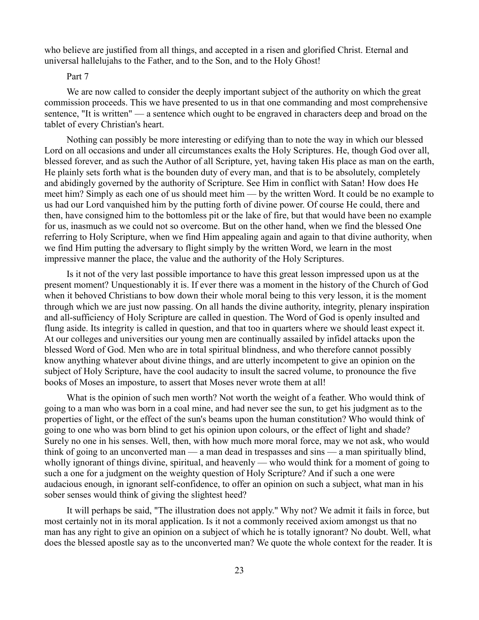who believe are justified from all things, and accepted in a risen and glorified Christ. Eternal and universal hallelujahs to the Father, and to the Son, and to the Holy Ghost!

# Part 7

We are now called to consider the deeply important subject of the authority on which the great commission proceeds. This we have presented to us in that one commanding and most comprehensive sentence, "It is written" — a sentence which ought to be engraved in characters deep and broad on the tablet of every Christian's heart.

Nothing can possibly be more interesting or edifying than to note the way in which our blessed Lord on all occasions and under all circumstances exalts the Holy Scriptures. He, though God over all, blessed forever, and as such the Author of all Scripture, yet, having taken His place as man on the earth, He plainly sets forth what is the bounden duty of every man, and that is to be absolutely, completely and abidingly governed by the authority of Scripture. See Him in conflict with Satan! How does He meet him? Simply as each one of us should meet him — by the written Word. It could be no example to us had our Lord vanquished him by the putting forth of divine power. Of course He could, there and then, have consigned him to the bottomless pit or the lake of fire, but that would have been no example for us, inasmuch as we could not so overcome. But on the other hand, when we find the blessed One referring to Holy Scripture, when we find Him appealing again and again to that divine authority, when we find Him putting the adversary to flight simply by the written Word, we learn in the most impressive manner the place, the value and the authority of the Holy Scriptures.

Is it not of the very last possible importance to have this great lesson impressed upon us at the present moment? Unquestionably it is. If ever there was a moment in the history of the Church of God when it behoved Christians to bow down their whole moral being to this very lesson, it is the moment through which we are just now passing. On all hands the divine authority, integrity, plenary inspiration and all-sufficiency of Holy Scripture are called in question. The Word of God is openly insulted and flung aside. Its integrity is called in question, and that too in quarters where we should least expect it. At our colleges and universities our young men are continually assailed by infidel attacks upon the blessed Word of God. Men who are in total spiritual blindness, and who therefore cannot possibly know anything whatever about divine things, and are utterly incompetent to give an opinion on the subject of Holy Scripture, have the cool audacity to insult the sacred volume, to pronounce the five books of Moses an imposture, to assert that Moses never wrote them at all!

What is the opinion of such men worth? Not worth the weight of a feather. Who would think of going to a man who was born in a coal mine, and had never see the sun, to get his judgment as to the properties of light, or the effect of the sun's beams upon the human constitution? Who would think of going to one who was born blind to get his opinion upon colours, or the effect of light and shade? Surely no one in his senses. Well, then, with how much more moral force, may we not ask, who would think of going to an unconverted man — a man dead in trespasses and sins — a man spiritually blind, wholly ignorant of things divine, spiritual, and heavenly — who would think for a moment of going to such a one for a judgment on the weighty question of Holy Scripture? And if such a one were audacious enough, in ignorant self-confidence, to offer an opinion on such a subject, what man in his sober senses would think of giving the slightest heed?

It will perhaps be said, "The illustration does not apply." Why not? We admit it fails in force, but most certainly not in its moral application. Is it not a commonly received axiom amongst us that no man has any right to give an opinion on a subject of which he is totally ignorant? No doubt. Well, what does the blessed apostle say as to the unconverted man? We quote the whole context for the reader. It is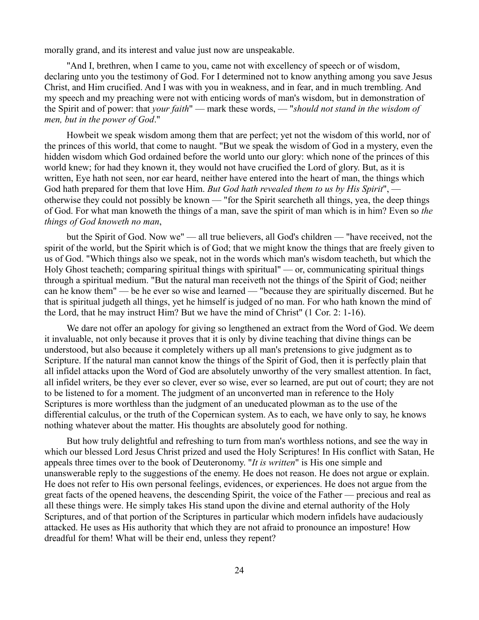morally grand, and its interest and value just now are unspeakable.

"And I, brethren, when I came to you, came not with excellency of speech or of wisdom, declaring unto you the testimony of God. For I determined not to know anything among you save Jesus Christ, and Him crucified. And I was with you in weakness, and in fear, and in much trembling. And my speech and my preaching were not with enticing words of man's wisdom, but in demonstration of the Spirit and of power: that *your faith*" — mark these words, — "*should not stand in the wisdom of men, but in the power of God*."

Howbeit we speak wisdom among them that are perfect; yet not the wisdom of this world, nor of the princes of this world, that come to naught. "But we speak the wisdom of God in a mystery, even the hidden wisdom which God ordained before the world unto our glory: which none of the princes of this world knew; for had they known it, they would not have crucified the Lord of glory. But, as it is written, Eye hath not seen, nor ear heard, neither have entered into the heart of man, the things which God hath prepared for them that love Him. *But God hath revealed them to us by His Spirit*", otherwise they could not possibly be known — "for the Spirit searcheth all things, yea, the deep things of God. For what man knoweth the things of a man, save the spirit of man which is in him? Even so *the things of God knoweth no man*,

but the Spirit of God. Now we" — all true believers, all God's children — "have received, not the spirit of the world, but the Spirit which is of God; that we might know the things that are freely given to us of God. "Which things also we speak, not in the words which man's wisdom teacheth, but which the Holy Ghost teacheth; comparing spiritual things with spiritual" — or, communicating spiritual things through a spiritual medium. "But the natural man receiveth not the things of the Spirit of God; neither can he know them" — be he ever so wise and learned — "because they are spiritually discerned. But he that is spiritual judgeth all things, yet he himself is judged of no man. For who hath known the mind of the Lord, that he may instruct Him? But we have the mind of Christ" (1 Cor. 2: 1-16).

We dare not offer an apology for giving so lengthened an extract from the Word of God. We deem it invaluable, not only because it proves that it is only by divine teaching that divine things can be understood, but also because it completely withers up all man's pretensions to give judgment as to Scripture. If the natural man cannot know the things of the Spirit of God, then it is perfectly plain that all infidel attacks upon the Word of God are absolutely unworthy of the very smallest attention. In fact, all infidel writers, be they ever so clever, ever so wise, ever so learned, are put out of court; they are not to be listened to for a moment. The judgment of an unconverted man in reference to the Holy Scriptures is more worthless than the judgment of an uneducated plowman as to the use of the differential calculus, or the truth of the Copernican system. As to each, we have only to say, he knows nothing whatever about the matter. His thoughts are absolutely good for nothing.

But how truly delightful and refreshing to turn from man's worthless notions, and see the way in which our blessed Lord Jesus Christ prized and used the Holy Scriptures! In His conflict with Satan, He appeals three times over to the book of Deuteronomy. "*It is written*" is His one simple and unanswerable reply to the suggestions of the enemy. He does not reason. He does not argue or explain. He does not refer to His own personal feelings, evidences, or experiences. He does not argue from the great facts of the opened heavens, the descending Spirit, the voice of the Father — precious and real as all these things were. He simply takes His stand upon the divine and eternal authority of the Holy Scriptures, and of that portion of the Scriptures in particular which modern infidels have audaciously attacked. He uses as His authority that which they are not afraid to pronounce an imposture! How dreadful for them! What will be their end, unless they repent?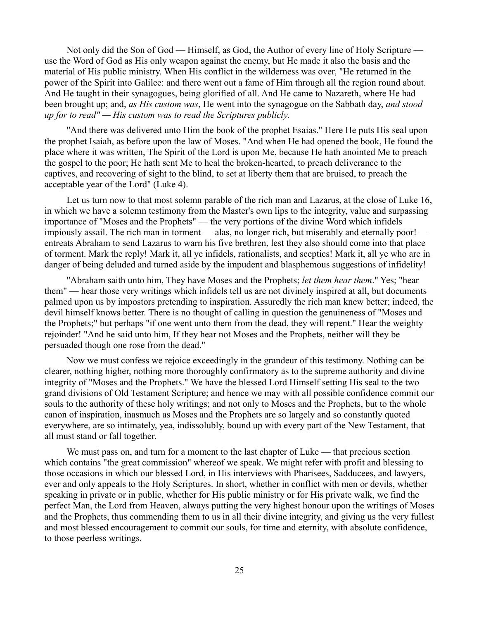Not only did the Son of God — Himself, as God, the Author of every line of Holy Scripture use the Word of God as His only weapon against the enemy, but He made it also the basis and the material of His public ministry. When His conflict in the wilderness was over, "He returned in the power of the Spirit into Galilee: and there went out a fame of Him through all the region round about. And He taught in their synagogues, being glorified of all. And He came to Nazareth, where He had been brought up; and, *as His custom was*, He went into the synagogue on the Sabbath day, *and stood up for to read" — His custom was to read the Scriptures publicly*.

"And there was delivered unto Him the book of the prophet Esaias." Here He puts His seal upon the prophet Isaiah, as before upon the law of Moses. "And when He had opened the book, He found the place where it was written, The Spirit of the Lord is upon Me, because He hath anointed Me to preach the gospel to the poor; He hath sent Me to heal the broken-hearted, to preach deliverance to the captives, and recovering of sight to the blind, to set at liberty them that are bruised, to preach the acceptable year of the Lord" (Luke 4).

Let us turn now to that most solemn parable of the rich man and Lazarus, at the close of Luke 16, in which we have a solemn testimony from the Master's own lips to the integrity, value and surpassing importance of "Moses and the Prophets" — the very portions of the divine Word which infidels impiously assail. The rich man in torment — alas, no longer rich, but miserably and eternally poor! entreats Abraham to send Lazarus to warn his five brethren, lest they also should come into that place of torment. Mark the reply! Mark it, all ye infidels, rationalists, and sceptics! Mark it, all ye who are in danger of being deluded and turned aside by the impudent and blasphemous suggestions of infidelity!

"Abraham saith unto him, They have Moses and the Prophets; *let them hear them*." Yes; "hear them" — hear those very writings which infidels tell us are not divinely inspired at all, but documents palmed upon us by impostors pretending to inspiration. Assuredly the rich man knew better; indeed, the devil himself knows better. There is no thought of calling in question the genuineness of "Moses and the Prophets;" but perhaps "if one went unto them from the dead, they will repent." Hear the weighty rejoinder! "And he said unto him, If they hear not Moses and the Prophets, neither will they be persuaded though one rose from the dead."

Now we must confess we rejoice exceedingly in the grandeur of this testimony. Nothing can be clearer, nothing higher, nothing more thoroughly confirmatory as to the supreme authority and divine integrity of "Moses and the Prophets." We have the blessed Lord Himself setting His seal to the two grand divisions of Old Testament Scripture; and hence we may with all possible confidence commit our souls to the authority of these holy writings; and not only to Moses and the Prophets, but to the whole canon of inspiration, inasmuch as Moses and the Prophets are so largely and so constantly quoted everywhere, are so intimately, yea, indissolubly, bound up with every part of the New Testament, that all must stand or fall together.

We must pass on, and turn for a moment to the last chapter of Luke — that precious section which contains "the great commission" whereof we speak. We might refer with profit and blessing to those occasions in which our blessed Lord, in His interviews with Pharisees, Sadducees, and lawyers, ever and only appeals to the Holy Scriptures. In short, whether in conflict with men or devils, whether speaking in private or in public, whether for His public ministry or for His private walk, we find the perfect Man, the Lord from Heaven, always putting the very highest honour upon the writings of Moses and the Prophets, thus commending them to us in all their divine integrity, and giving us the very fullest and most blessed encouragement to commit our souls, for time and eternity, with absolute confidence, to those peerless writings.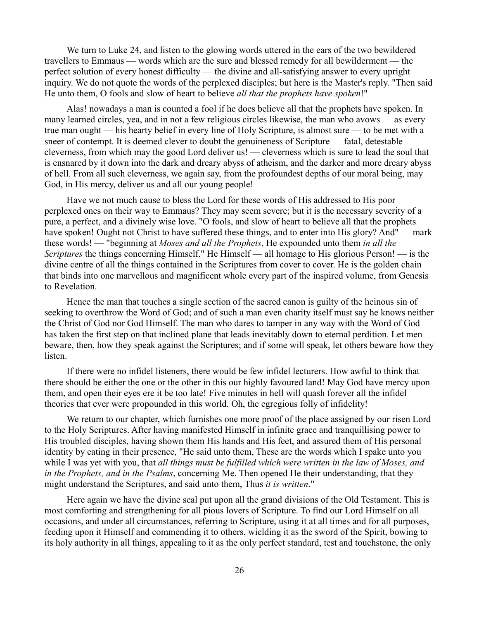We turn to Luke 24, and listen to the glowing words uttered in the ears of the two bewildered travellers to Emmaus — words which are the sure and blessed remedy for all bewilderment — the perfect solution of every honest difficulty — the divine and all-satisfying answer to every upright inquiry. We do not quote the words of the perplexed disciples; but here is the Master's reply. "Then said He unto them, O fools and slow of heart to believe *all that the prophets have spoken*!"

Alas! nowadays a man is counted a fool if he does believe all that the prophets have spoken. In many learned circles, yea, and in not a few religious circles likewise, the man who avows — as every true man ought — his hearty belief in every line of Holy Scripture, is almost sure — to be met with a sneer of contempt. It is deemed clever to doubt the genuineness of Scripture — fatal, detestable cleverness, from which may the good Lord deliver us! — cleverness which is sure to lead the soul that is ensnared by it down into the dark and dreary abyss of atheism, and the darker and more dreary abyss of hell. From all such cleverness, we again say, from the profoundest depths of our moral being, may God, in His mercy, deliver us and all our young people!

Have we not much cause to bless the Lord for these words of His addressed to His poor perplexed ones on their way to Emmaus? They may seem severe; but it is the necessary severity of a pure, a perfect, and a divinely wise love. "O fools, and slow of heart to believe all that the prophets have spoken! Ought not Christ to have suffered these things, and to enter into His glory? And" — mark these words! — "beginning at *Moses and all the Prophets*, He expounded unto them *in all the Scriptures* the things concerning Himself." He Himself — all homage to His glorious Person! — is the divine centre of all the things contained in the Scriptures from cover to cover. He is the golden chain that binds into one marvellous and magnificent whole every part of the inspired volume, from Genesis to Revelation.

Hence the man that touches a single section of the sacred canon is guilty of the heinous sin of seeking to overthrow the Word of God; and of such a man even charity itself must say he knows neither the Christ of God nor God Himself. The man who dares to tamper in any way with the Word of God has taken the first step on that inclined plane that leads inevitably down to eternal perdition. Let men beware, then, how they speak against the Scriptures; and if some will speak, let others beware how they listen.

If there were no infidel listeners, there would be few infidel lecturers. How awful to think that there should be either the one or the other in this our highly favoured land! May God have mercy upon them, and open their eyes ere it be too late! Five minutes in hell will quash forever all the infidel theories that ever were propounded in this world. Oh, the egregious folly of infidelity!

We return to our chapter, which furnishes one more proof of the place assigned by our risen Lord to the Holy Scriptures. After having manifested Himself in infinite grace and tranquillising power to His troubled disciples, having shown them His hands and His feet, and assured them of His personal identity by eating in their presence, "He said unto them, These are the words which I spake unto you while I was yet with you, that *all things must be fulfilled which were written in the law of Moses, and in the Prophets, and in the Psalms*, concerning Me. Then opened He their understanding, that they might understand the Scriptures, and said unto them, Thus *it is written*."

Here again we have the divine seal put upon all the grand divisions of the Old Testament. This is most comforting and strengthening for all pious lovers of Scripture. To find our Lord Himself on all occasions, and under all circumstances, referring to Scripture, using it at all times and for all purposes, feeding upon it Himself and commending it to others, wielding it as the sword of the Spirit, bowing to its holy authority in all things, appealing to it as the only perfect standard, test and touchstone, the only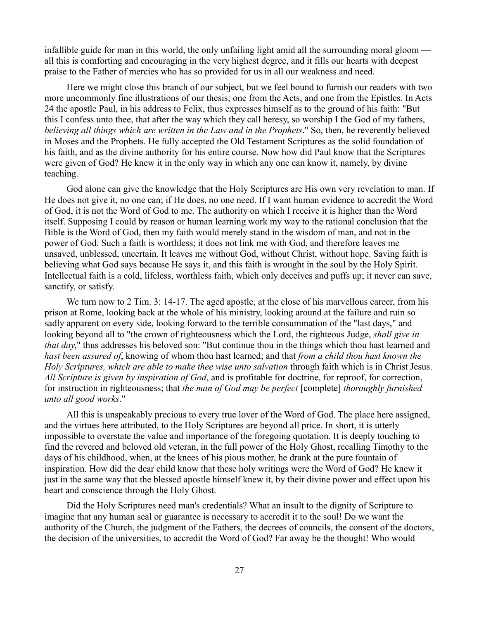infallible guide for man in this world, the only unfailing light amid all the surrounding moral gloom all this is comforting and encouraging in the very highest degree, and it fills our hearts with deepest praise to the Father of mercies who has so provided for us in all our weakness and need.

Here we might close this branch of our subject, but we feel bound to furnish our readers with two more uncommonly fine illustrations of our thesis; one from the Acts, and one from the Epistles. In Acts 24 the apostle Paul, in his address to Felix, thus expresses himself as to the ground of his faith: "But this I confess unto thee, that after the way which they call heresy, so worship I the God of my fathers, *believing all things which are written in the Law and in the Prophets*." So, then, he reverently believed in Moses and the Prophets. He fully accepted the Old Testament Scriptures as the solid foundation of his faith, and as the divine authority for his entire course. Now how did Paul know that the Scriptures were given of God? He knew it in the only way in which any one can know it, namely, by divine teaching.

God alone can give the knowledge that the Holy Scriptures are His own very revelation to man. If He does not give it, no one can; if He does, no one need. If I want human evidence to accredit the Word of God, it is not the Word of God to me. The authority on which I receive it is higher than the Word itself. Supposing I could by reason or human learning work my way to the rational conclusion that the Bible is the Word of God, then my faith would merely stand in the wisdom of man, and not in the power of God. Such a faith is worthless; it does not link me with God, and therefore leaves me unsaved, unblessed, uncertain. It leaves me without God, without Christ, without hope. Saving faith is believing what God says because He says it, and this faith is wrought in the soul by the Holy Spirit. Intellectual faith is a cold, lifeless, worthless faith, which only deceives and puffs up; it never can save, sanctify, or satisfy.

We turn now to 2 Tim. 3: 14-17. The aged apostle, at the close of his marvellous career, from his prison at Rome, looking back at the whole of his ministry, looking around at the failure and ruin so sadly apparent on every side, looking forward to the terrible consummation of the "last days," and looking beyond all to "the crown of righteousness which the Lord, the righteous Judge, *shall give in that day*," thus addresses his beloved son: "But continue thou in the things which thou hast learned and *hast been assured of*, knowing of whom thou hast learned; and that *from a child thou hast known the Holy Scriptures, which are able to make thee wise unto salvation* through faith which is in Christ Jesus. *All Scripture is given by inspiration of God*, and is profitable for doctrine, for reproof, for correction, for instruction in righteousness; that *the man of God may be perfect* [complete] *thoroughly furnished unto all good works*."

All this is unspeakably precious to every true lover of the Word of God. The place here assigned, and the virtues here attributed, to the Holy Scriptures are beyond all price. In short, it is utterly impossible to overstate the value and importance of the foregoing quotation. It is deeply touching to find the revered and beloved old veteran, in the full power of the Holy Ghost, recalling Timothy to the days of his childhood, when, at the knees of his pious mother, he drank at the pure fountain of inspiration. How did the dear child know that these holy writings were the Word of God? He knew it just in the same way that the blessed apostle himself knew it, by their divine power and effect upon his heart and conscience through the Holy Ghost.

Did the Holy Scriptures need man's credentials? What an insult to the dignity of Scripture to imagine that any human seal or guarantee is necessary to accredit it to the soul! Do we want the authority of the Church, the judgment of the Fathers, the decrees of councils, the consent of the doctors, the decision of the universities, to accredit the Word of God? Far away be the thought! Who would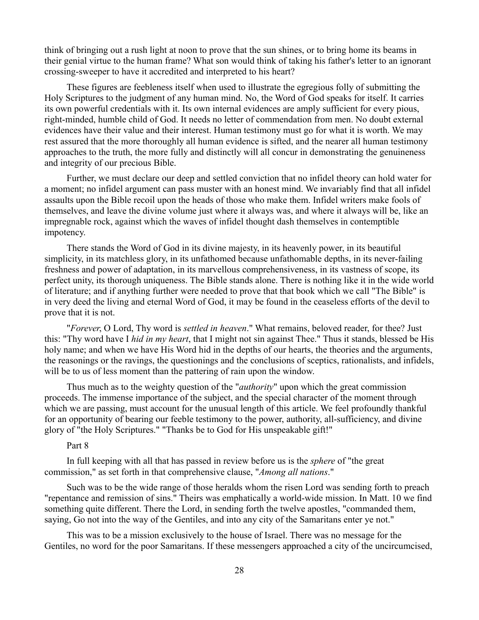think of bringing out a rush light at noon to prove that the sun shines, or to bring home its beams in their genial virtue to the human frame? What son would think of taking his father's letter to an ignorant crossing-sweeper to have it accredited and interpreted to his heart?

These figures are feebleness itself when used to illustrate the egregious folly of submitting the Holy Scriptures to the judgment of any human mind. No, the Word of God speaks for itself. It carries its own powerful credentials with it. Its own internal evidences are amply sufficient for every pious, right-minded, humble child of God. It needs no letter of commendation from men. No doubt external evidences have their value and their interest. Human testimony must go for what it is worth. We may rest assured that the more thoroughly all human evidence is sifted, and the nearer all human testimony approaches to the truth, the more fully and distinctly will all concur in demonstrating the genuineness and integrity of our precious Bible.

Further, we must declare our deep and settled conviction that no infidel theory can hold water for a moment; no infidel argument can pass muster with an honest mind. We invariably find that all infidel assaults upon the Bible recoil upon the heads of those who make them. Infidel writers make fools of themselves, and leave the divine volume just where it always was, and where it always will be, like an impregnable rock, against which the waves of infidel thought dash themselves in contemptible impotency.

There stands the Word of God in its divine majesty, in its heavenly power, in its beautiful simplicity, in its matchless glory, in its unfathomed because unfathomable depths, in its never-failing freshness and power of adaptation, in its marvellous comprehensiveness, in its vastness of scope, its perfect unity, its thorough uniqueness. The Bible stands alone. There is nothing like it in the wide world of literature; and if anything further were needed to prove that that book which we call "The Bible" is in very deed the living and eternal Word of God, it may be found in the ceaseless efforts of the devil to prove that it is not.

"*Forever*, O Lord, Thy word is *settled in heaven*." What remains, beloved reader, for thee? Just this: "Thy word have I *hid in my heart*, that I might not sin against Thee." Thus it stands, blessed be His holy name; and when we have His Word hid in the depths of our hearts, the theories and the arguments, the reasonings or the ravings, the questionings and the conclusions of sceptics, rationalists, and infidels, will be to us of less moment than the pattering of rain upon the window.

Thus much as to the weighty question of the "*authority*" upon which the great commission proceeds. The immense importance of the subject, and the special character of the moment through which we are passing, must account for the unusual length of this article. We feel profoundly thankful for an opportunity of bearing our feeble testimony to the power, authority, all-sufficiency, and divine glory of "the Holy Scriptures." "Thanks be to God for His unspeakable gift!"

# Part 8

In full keeping with all that has passed in review before us is the *sphere* of "the great commission," as set forth in that comprehensive clause, "*Among all nations*."

Such was to be the wide range of those heralds whom the risen Lord was sending forth to preach "repentance and remission of sins." Theirs was emphatically a world-wide mission. In Matt. 10 we find something quite different. There the Lord, in sending forth the twelve apostles, "commanded them, saying, Go not into the way of the Gentiles, and into any city of the Samaritans enter ye not."

This was to be a mission exclusively to the house of Israel. There was no message for the Gentiles, no word for the poor Samaritans. If these messengers approached a city of the uncircumcised,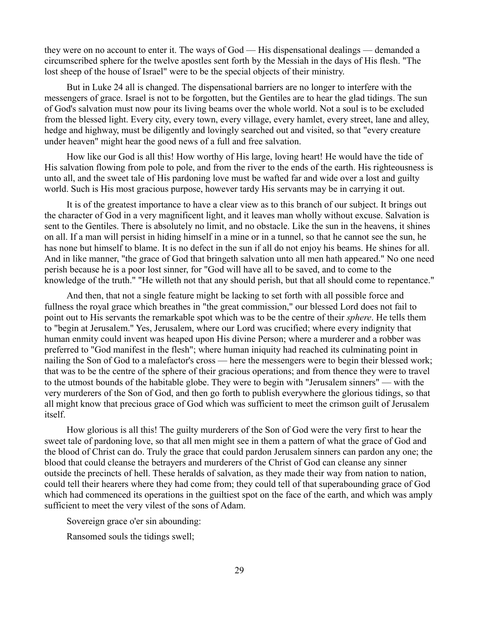they were on no account to enter it. The ways of God — His dispensational dealings — demanded a circumscribed sphere for the twelve apostles sent forth by the Messiah in the days of His flesh. "The lost sheep of the house of Israel" were to be the special objects of their ministry.

But in Luke 24 all is changed. The dispensational barriers are no longer to interfere with the messengers of grace. Israel is not to be forgotten, but the Gentiles are to hear the glad tidings. The sun of God's salvation must now pour its living beams over the whole world. Not a soul is to be excluded from the blessed light. Every city, every town, every village, every hamlet, every street, lane and alley, hedge and highway, must be diligently and lovingly searched out and visited, so that "every creature under heaven" might hear the good news of a full and free salvation.

How like our God is all this! How worthy of His large, loving heart! He would have the tide of His salvation flowing from pole to pole, and from the river to the ends of the earth. His righteousness is unto all, and the sweet tale of His pardoning love must be wafted far and wide over a lost and guilty world. Such is His most gracious purpose, however tardy His servants may be in carrying it out.

It is of the greatest importance to have a clear view as to this branch of our subject. It brings out the character of God in a very magnificent light, and it leaves man wholly without excuse. Salvation is sent to the Gentiles. There is absolutely no limit, and no obstacle. Like the sun in the heavens, it shines on all. If a man will persist in hiding himself in a mine or in a tunnel, so that he cannot see the sun, he has none but himself to blame. It is no defect in the sun if all do not enjoy his beams. He shines for all. And in like manner, "the grace of God that bringeth salvation unto all men hath appeared." No one need perish because he is a poor lost sinner, for "God will have all to be saved, and to come to the knowledge of the truth." "He willeth not that any should perish, but that all should come to repentance."

And then, that not a single feature might be lacking to set forth with all possible force and fullness the royal grace which breathes in "the great commission," our blessed Lord does not fail to point out to His servants the remarkable spot which was to be the centre of their *sphere*. He tells them to "begin at Jerusalem." Yes, Jerusalem, where our Lord was crucified; where every indignity that human enmity could invent was heaped upon His divine Person; where a murderer and a robber was preferred to "God manifest in the flesh"; where human iniquity had reached its culminating point in nailing the Son of God to a malefactor's cross — here the messengers were to begin their blessed work; that was to be the centre of the sphere of their gracious operations; and from thence they were to travel to the utmost bounds of the habitable globe. They were to begin with "Jerusalem sinners" — with the very murderers of the Son of God, and then go forth to publish everywhere the glorious tidings, so that all might know that precious grace of God which was sufficient to meet the crimson guilt of Jerusalem itself.

How glorious is all this! The guilty murderers of the Son of God were the very first to hear the sweet tale of pardoning love, so that all men might see in them a pattern of what the grace of God and the blood of Christ can do. Truly the grace that could pardon Jerusalem sinners can pardon any one; the blood that could cleanse the betrayers and murderers of the Christ of God can cleanse any sinner outside the precincts of hell. These heralds of salvation, as they made their way from nation to nation, could tell their hearers where they had come from; they could tell of that superabounding grace of God which had commenced its operations in the guiltiest spot on the face of the earth, and which was amply sufficient to meet the very vilest of the sons of Adam.

Sovereign grace o'er sin abounding:

Ransomed souls the tidings swell;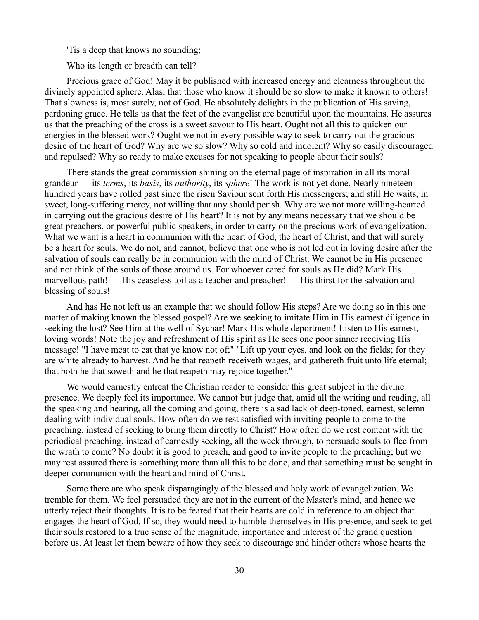'Tis a deep that knows no sounding;

Who its length or breadth can tell?

Precious grace of God! May it be published with increased energy and clearness throughout the divinely appointed sphere. Alas, that those who know it should be so slow to make it known to others! That slowness is, most surely, not of God. He absolutely delights in the publication of His saving, pardoning grace. He tells us that the feet of the evangelist are beautiful upon the mountains. He assures us that the preaching of the cross is a sweet savour to His heart. Ought not all this to quicken our energies in the blessed work? Ought we not in every possible way to seek to carry out the gracious desire of the heart of God? Why are we so slow? Why so cold and indolent? Why so easily discouraged and repulsed? Why so ready to make excuses for not speaking to people about their souls?

There stands the great commission shining on the eternal page of inspiration in all its moral grandeur — its *terms*, its *basis*, its *authority*, its *sphere*! The work is not yet done. Nearly nineteen hundred years have rolled past since the risen Saviour sent forth His messengers; and still He waits, in sweet, long-suffering mercy, not willing that any should perish. Why are we not more willing-hearted in carrying out the gracious desire of His heart? It is not by any means necessary that we should be great preachers, or powerful public speakers, in order to carry on the precious work of evangelization. What we want is a heart in communion with the heart of God, the heart of Christ, and that will surely be a heart for souls. We do not, and cannot, believe that one who is not led out in loving desire after the salvation of souls can really be in communion with the mind of Christ. We cannot be in His presence and not think of the souls of those around us. For whoever cared for souls as He did? Mark His marvellous path! — His ceaseless toil as a teacher and preacher! — His thirst for the salvation and blessing of souls!

And has He not left us an example that we should follow His steps? Are we doing so in this one matter of making known the blessed gospel? Are we seeking to imitate Him in His earnest diligence in seeking the lost? See Him at the well of Sychar! Mark His whole deportment! Listen to His earnest, loving words! Note the joy and refreshment of His spirit as He sees one poor sinner receiving His message! "I have meat to eat that ye know not of;" "Lift up your eyes, and look on the fields; for they are white already to harvest. And he that reapeth receiveth wages, and gathereth fruit unto life eternal; that both he that soweth and he that reapeth may rejoice together."

We would earnestly entreat the Christian reader to consider this great subject in the divine presence. We deeply feel its importance. We cannot but judge that, amid all the writing and reading, all the speaking and hearing, all the coming and going, there is a sad lack of deep-toned, earnest, solemn dealing with individual souls. How often do we rest satisfied with inviting people to come to the preaching, instead of seeking to bring them directly to Christ? How often do we rest content with the periodical preaching, instead of earnestly seeking, all the week through, to persuade souls to flee from the wrath to come? No doubt it is good to preach, and good to invite people to the preaching; but we may rest assured there is something more than all this to be done, and that something must be sought in deeper communion with the heart and mind of Christ.

Some there are who speak disparagingly of the blessed and holy work of evangelization. We tremble for them. We feel persuaded they are not in the current of the Master's mind, and hence we utterly reject their thoughts. It is to be feared that their hearts are cold in reference to an object that engages the heart of God. If so, they would need to humble themselves in His presence, and seek to get their souls restored to a true sense of the magnitude, importance and interest of the grand question before us. At least let them beware of how they seek to discourage and hinder others whose hearts the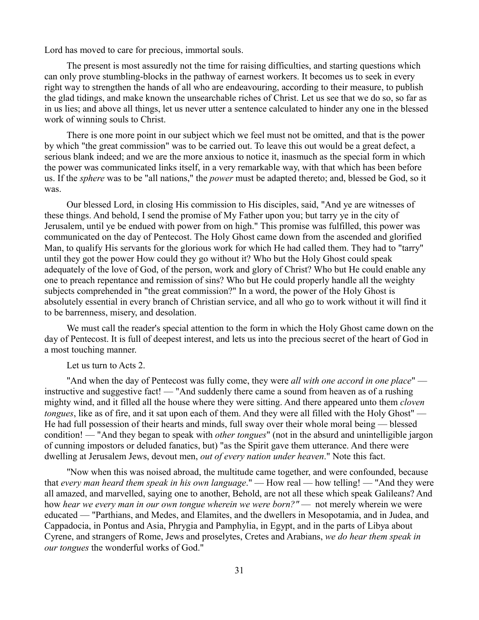Lord has moved to care for precious, immortal souls.

The present is most assuredly not the time for raising difficulties, and starting questions which can only prove stumbling-blocks in the pathway of earnest workers. It becomes us to seek in every right way to strengthen the hands of all who are endeavouring, according to their measure, to publish the glad tidings, and make known the unsearchable riches of Christ. Let us see that we do so, so far as in us lies; and above all things, let us never utter a sentence calculated to hinder any one in the blessed work of winning souls to Christ.

There is one more point in our subject which we feel must not be omitted, and that is the power by which "the great commission" was to be carried out. To leave this out would be a great defect, a serious blank indeed; and we are the more anxious to notice it, inasmuch as the special form in which the power was communicated links itself, in a very remarkable way, with that which has been before us. If the *sphere* was to be "all nations," the *power* must be adapted thereto; and, blessed be God, so it was.

Our blessed Lord, in closing His commission to His disciples, said, "And ye are witnesses of these things. And behold, I send the promise of My Father upon you; but tarry ye in the city of Jerusalem, until ye be endued with power from on high." This promise was fulfilled, this power was communicated on the day of Pentecost. The Holy Ghost came down from the ascended and glorified Man, to qualify His servants for the glorious work for which He had called them. They had to "tarry" until they got the power How could they go without it? Who but the Holy Ghost could speak adequately of the love of God, of the person, work and glory of Christ? Who but He could enable any one to preach repentance and remission of sins? Who but He could properly handle all the weighty subjects comprehended in "the great commission?" In a word, the power of the Holy Ghost is absolutely essential in every branch of Christian service, and all who go to work without it will find it to be barrenness, misery, and desolation.

We must call the reader's special attention to the form in which the Holy Ghost came down on the day of Pentecost. It is full of deepest interest, and lets us into the precious secret of the heart of God in a most touching manner.

#### Let us turn to Acts 2.

"And when the day of Pentecost was fully come, they were *all with one accord in one place*" instructive and suggestive fact! — "And suddenly there came a sound from heaven as of a rushing mighty wind, and it filled all the house where they were sitting. And there appeared unto them *cloven tongues*, like as of fire, and it sat upon each of them. And they were all filled with the Holy Ghost" — He had full possession of their hearts and minds, full sway over their whole moral being — blessed condition! — "And they began to speak with *other tongues*" (not in the absurd and unintelligible jargon of cunning impostors or deluded fanatics, but) "as the Spirit gave them utterance. And there were dwelling at Jerusalem Jews, devout men, *out of every nation under heaven*." Note this fact.

"Now when this was noised abroad, the multitude came together, and were confounded, because that *every man heard them speak in his own language*." — How real — how telling! — "And they were all amazed, and marvelled, saying one to another, Behold, are not all these which speak Galileans? And how *hear we every man in our own tongue wherein we were born?"* — not merely wherein we were educated — "Parthians, and Medes, and Elamites, and the dwellers in Mesopotamia, and in Judea, and Cappadocia, in Pontus and Asia, Phrygia and Pamphylia, in Egypt, and in the parts of Libya about Cyrene, and strangers of Rome, Jews and proselytes, Cretes and Arabians, *we do hear them speak in our tongues* the wonderful works of God."